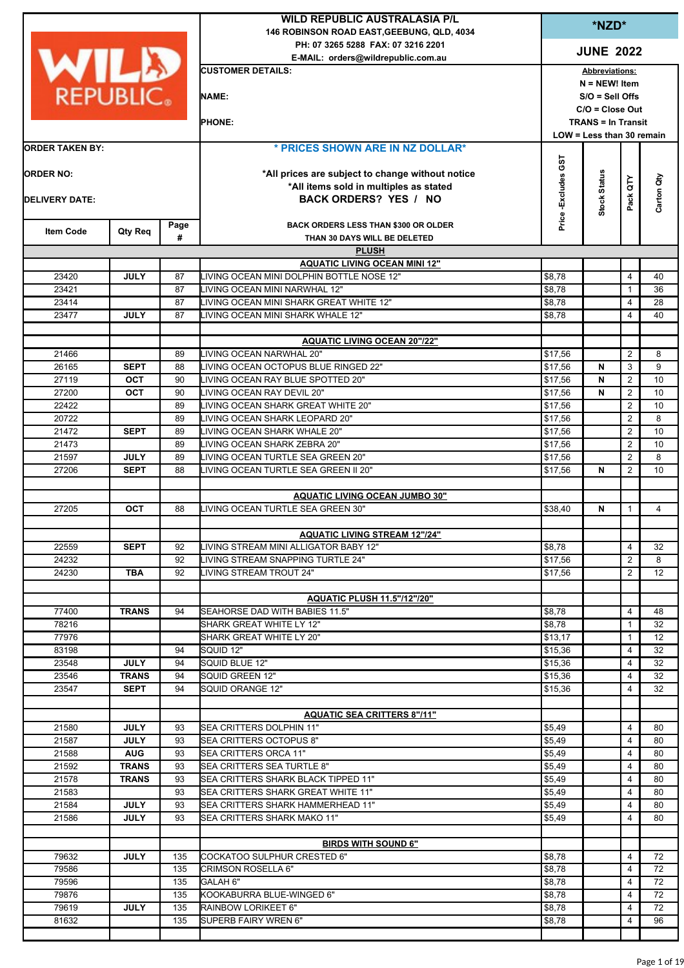| *NZD*<br>146 ROBINSON ROAD EAST, GEEBUNG, QLD, 4034<br>PH: 07 3265 5288 FAX: 07 3216 2201<br><b>JUNE 2022</b><br>WILD<br>E-MAIL: orders@wildrepublic.com.au<br><b>CUSTOMER DETAILS:</b><br><b>Abbreviations:</b><br>$N = NEW!$ Item<br><b>REPUBLIC.</b><br><b>NAME:</b><br>$S/O =$ Sell Offs<br>$C/O = Close Out$<br><b>PHONE:</b><br><b>TRANS = In Transit</b><br>LOW = Less than 30 remain<br>* PRICES SHOWN ARE IN NZ DOLLAR*<br><b>ORDER TAKEN BY:</b><br>Price -Excludes GST<br><b>Stock Status</b><br><b>ORDER NO:</b><br>*All prices are subject to change without notice<br>Pack QTY<br>*All items sold in multiples as stated<br><b>BACK ORDERS? YES / NO</b><br><b>DELIVERY DATE:</b><br><b>BACK ORDERS LESS THAN \$300 OR OLDER</b><br>Page<br><b>Item Code</b><br>Qty Req<br>#<br>THAN 30 DAYS WILL BE DELETED<br><b>PLUSH</b><br><b>AQUATIC LIVING OCEAN MINI 12"</b><br>LIVING OCEAN MINI DOLPHIN BOTTLE NOSE 12"<br>$\overline{4}$<br>23420<br><b>JULY</b><br>87<br>\$8,78<br>23421<br>87<br>LIVING OCEAN MINI NARWHAL 12"<br>\$8,78<br>$\mathbf{1}$<br>LIVING OCEAN MINI SHARK GREAT WHITE 12"<br>\$8,78<br>23414<br>87<br>4<br><b>JULY</b><br>87<br>LIVING OCEAN MINI SHARK WHALE 12"<br>23477<br>\$8,78<br>4<br><b>AQUATIC LIVING OCEAN 20"/22"</b><br>21466<br>LIVING OCEAN NARWHAL 20"<br>2<br>89<br>\$17,56<br>3<br>26165<br><b>SEPT</b><br>LIVING OCEAN OCTOPUS BLUE RINGED 22"<br>\$17,56<br>N<br>88<br>27119<br><b>OCT</b><br>90<br>LIVING OCEAN RAY BLUE SPOTTED 20"<br>\$17,56<br>N<br>$\overline{2}$<br>$\overline{2}$<br>27200<br>OCT<br>90<br>LIVING OCEAN RAY DEVIL 20"<br>\$17,56<br>N<br>22422<br>LIVING OCEAN SHARK GREAT WHITE 20"<br>\$17,56<br>$\overline{2}$<br>89<br>$\overline{2}$<br>20722<br>89<br>LIVING OCEAN SHARK LEOPARD 20"<br>\$17,56<br>$\overline{2}$<br>21472<br><b>SEPT</b><br>LIVING OCEAN SHARK WHALE 20"<br>89<br>\$17,56<br>$\overline{2}$<br>21473<br>89<br>LIVING OCEAN SHARK ZEBRA 20"<br>\$17,56<br>21597<br><b>JULY</b><br>89<br>LIVING OCEAN TURTLE SEA GREEN 20"<br>2<br>\$17,56<br>N<br>27206<br><b>SEPT</b><br>88<br>LIVING OCEAN TURTLE SEA GREEN II 20"<br>2<br>\$17,56<br><b>AQUATIC LIVING OCEAN JUMBO 30"</b><br>27205<br><b>OCT</b><br>88<br>LIVING OCEAN TURTLE SEA GREEN 30"<br>\$38,40<br>N<br>$\mathbf{1}$<br><b>AQUATIC LIVING STREAM 12"/24"</b><br>22559<br><b>SEPT</b><br>LIVING STREAM MINI ALLIGATOR BABY 12"<br>\$8,78<br>92<br>4<br>$\overline{2}$<br>24232<br>92<br>LIVING STREAM SNAPPING TURTLE 24"<br>\$17,56<br>24230<br><b>TBA</b><br>92<br>LIVING STREAM TROUT 24"<br>\$17,56<br>2<br>AQUATIC PLUSH 11.5"/12"/20"<br>77400<br><b>TRANS</b><br>94<br>SEAHORSE DAD WITH BABIES 11.5"<br>\$8,78<br>4<br>78216<br>\$8,78<br>SHARK GREAT WHITE LY 12"<br>$\mathbf{1}$<br>77976<br>SHARK GREAT WHITE LY 20"<br>\$13,17<br>1<br>83198<br>94<br>SQUID 12"<br>\$15,36<br>4 |
|-------------------------------------------------------------------------------------------------------------------------------------------------------------------------------------------------------------------------------------------------------------------------------------------------------------------------------------------------------------------------------------------------------------------------------------------------------------------------------------------------------------------------------------------------------------------------------------------------------------------------------------------------------------------------------------------------------------------------------------------------------------------------------------------------------------------------------------------------------------------------------------------------------------------------------------------------------------------------------------------------------------------------------------------------------------------------------------------------------------------------------------------------------------------------------------------------------------------------------------------------------------------------------------------------------------------------------------------------------------------------------------------------------------------------------------------------------------------------------------------------------------------------------------------------------------------------------------------------------------------------------------------------------------------------------------------------------------------------------------------------------------------------------------------------------------------------------------------------------------------------------------------------------------------------------------------------------------------------------------------------------------------------------------------------------------------------------------------------------------------------------------------------------------------------------------------------------------------------------------------------------------------------------------------------------------------------------------------------------------------------------------------------------------------------------------------------------------------------------------------------------------------------------------------------------------------------------------------------------------------------------------------------------------------------------------------------------------------------------------------------------------------------------------------------------------------------------------------------------------|
|                                                                                                                                                                                                                                                                                                                                                                                                                                                                                                                                                                                                                                                                                                                                                                                                                                                                                                                                                                                                                                                                                                                                                                                                                                                                                                                                                                                                                                                                                                                                                                                                                                                                                                                                                                                                                                                                                                                                                                                                                                                                                                                                                                                                                                                                                                                                                                                                                                                                                                                                                                                                                                                                                                                                                                                                                                                             |
|                                                                                                                                                                                                                                                                                                                                                                                                                                                                                                                                                                                                                                                                                                                                                                                                                                                                                                                                                                                                                                                                                                                                                                                                                                                                                                                                                                                                                                                                                                                                                                                                                                                                                                                                                                                                                                                                                                                                                                                                                                                                                                                                                                                                                                                                                                                                                                                                                                                                                                                                                                                                                                                                                                                                                                                                                                                             |
|                                                                                                                                                                                                                                                                                                                                                                                                                                                                                                                                                                                                                                                                                                                                                                                                                                                                                                                                                                                                                                                                                                                                                                                                                                                                                                                                                                                                                                                                                                                                                                                                                                                                                                                                                                                                                                                                                                                                                                                                                                                                                                                                                                                                                                                                                                                                                                                                                                                                                                                                                                                                                                                                                                                                                                                                                                                             |
|                                                                                                                                                                                                                                                                                                                                                                                                                                                                                                                                                                                                                                                                                                                                                                                                                                                                                                                                                                                                                                                                                                                                                                                                                                                                                                                                                                                                                                                                                                                                                                                                                                                                                                                                                                                                                                                                                                                                                                                                                                                                                                                                                                                                                                                                                                                                                                                                                                                                                                                                                                                                                                                                                                                                                                                                                                                             |
|                                                                                                                                                                                                                                                                                                                                                                                                                                                                                                                                                                                                                                                                                                                                                                                                                                                                                                                                                                                                                                                                                                                                                                                                                                                                                                                                                                                                                                                                                                                                                                                                                                                                                                                                                                                                                                                                                                                                                                                                                                                                                                                                                                                                                                                                                                                                                                                                                                                                                                                                                                                                                                                                                                                                                                                                                                                             |
|                                                                                                                                                                                                                                                                                                                                                                                                                                                                                                                                                                                                                                                                                                                                                                                                                                                                                                                                                                                                                                                                                                                                                                                                                                                                                                                                                                                                                                                                                                                                                                                                                                                                                                                                                                                                                                                                                                                                                                                                                                                                                                                                                                                                                                                                                                                                                                                                                                                                                                                                                                                                                                                                                                                                                                                                                                                             |
|                                                                                                                                                                                                                                                                                                                                                                                                                                                                                                                                                                                                                                                                                                                                                                                                                                                                                                                                                                                                                                                                                                                                                                                                                                                                                                                                                                                                                                                                                                                                                                                                                                                                                                                                                                                                                                                                                                                                                                                                                                                                                                                                                                                                                                                                                                                                                                                                                                                                                                                                                                                                                                                                                                                                                                                                                                                             |
|                                                                                                                                                                                                                                                                                                                                                                                                                                                                                                                                                                                                                                                                                                                                                                                                                                                                                                                                                                                                                                                                                                                                                                                                                                                                                                                                                                                                                                                                                                                                                                                                                                                                                                                                                                                                                                                                                                                                                                                                                                                                                                                                                                                                                                                                                                                                                                                                                                                                                                                                                                                                                                                                                                                                                                                                                                                             |
|                                                                                                                                                                                                                                                                                                                                                                                                                                                                                                                                                                                                                                                                                                                                                                                                                                                                                                                                                                                                                                                                                                                                                                                                                                                                                                                                                                                                                                                                                                                                                                                                                                                                                                                                                                                                                                                                                                                                                                                                                                                                                                                                                                                                                                                                                                                                                                                                                                                                                                                                                                                                                                                                                                                                                                                                                                                             |
|                                                                                                                                                                                                                                                                                                                                                                                                                                                                                                                                                                                                                                                                                                                                                                                                                                                                                                                                                                                                                                                                                                                                                                                                                                                                                                                                                                                                                                                                                                                                                                                                                                                                                                                                                                                                                                                                                                                                                                                                                                                                                                                                                                                                                                                                                                                                                                                                                                                                                                                                                                                                                                                                                                                                                                                                                                                             |
|                                                                                                                                                                                                                                                                                                                                                                                                                                                                                                                                                                                                                                                                                                                                                                                                                                                                                                                                                                                                                                                                                                                                                                                                                                                                                                                                                                                                                                                                                                                                                                                                                                                                                                                                                                                                                                                                                                                                                                                                                                                                                                                                                                                                                                                                                                                                                                                                                                                                                                                                                                                                                                                                                                                                                                                                                                                             |
|                                                                                                                                                                                                                                                                                                                                                                                                                                                                                                                                                                                                                                                                                                                                                                                                                                                                                                                                                                                                                                                                                                                                                                                                                                                                                                                                                                                                                                                                                                                                                                                                                                                                                                                                                                                                                                                                                                                                                                                                                                                                                                                                                                                                                                                                                                                                                                                                                                                                                                                                                                                                                                                                                                                                                                                                                                                             |
|                                                                                                                                                                                                                                                                                                                                                                                                                                                                                                                                                                                                                                                                                                                                                                                                                                                                                                                                                                                                                                                                                                                                                                                                                                                                                                                                                                                                                                                                                                                                                                                                                                                                                                                                                                                                                                                                                                                                                                                                                                                                                                                                                                                                                                                                                                                                                                                                                                                                                                                                                                                                                                                                                                                                                                                                                                                             |
|                                                                                                                                                                                                                                                                                                                                                                                                                                                                                                                                                                                                                                                                                                                                                                                                                                                                                                                                                                                                                                                                                                                                                                                                                                                                                                                                                                                                                                                                                                                                                                                                                                                                                                                                                                                                                                                                                                                                                                                                                                                                                                                                                                                                                                                                                                                                                                                                                                                                                                                                                                                                                                                                                                                                                                                                                                                             |
|                                                                                                                                                                                                                                                                                                                                                                                                                                                                                                                                                                                                                                                                                                                                                                                                                                                                                                                                                                                                                                                                                                                                                                                                                                                                                                                                                                                                                                                                                                                                                                                                                                                                                                                                                                                                                                                                                                                                                                                                                                                                                                                                                                                                                                                                                                                                                                                                                                                                                                                                                                                                                                                                                                                                                                                                                                                             |
|                                                                                                                                                                                                                                                                                                                                                                                                                                                                                                                                                                                                                                                                                                                                                                                                                                                                                                                                                                                                                                                                                                                                                                                                                                                                                                                                                                                                                                                                                                                                                                                                                                                                                                                                                                                                                                                                                                                                                                                                                                                                                                                                                                                                                                                                                                                                                                                                                                                                                                                                                                                                                                                                                                                                                                                                                                                             |
|                                                                                                                                                                                                                                                                                                                                                                                                                                                                                                                                                                                                                                                                                                                                                                                                                                                                                                                                                                                                                                                                                                                                                                                                                                                                                                                                                                                                                                                                                                                                                                                                                                                                                                                                                                                                                                                                                                                                                                                                                                                                                                                                                                                                                                                                                                                                                                                                                                                                                                                                                                                                                                                                                                                                                                                                                                                             |
|                                                                                                                                                                                                                                                                                                                                                                                                                                                                                                                                                                                                                                                                                                                                                                                                                                                                                                                                                                                                                                                                                                                                                                                                                                                                                                                                                                                                                                                                                                                                                                                                                                                                                                                                                                                                                                                                                                                                                                                                                                                                                                                                                                                                                                                                                                                                                                                                                                                                                                                                                                                                                                                                                                                                                                                                                                                             |
|                                                                                                                                                                                                                                                                                                                                                                                                                                                                                                                                                                                                                                                                                                                                                                                                                                                                                                                                                                                                                                                                                                                                                                                                                                                                                                                                                                                                                                                                                                                                                                                                                                                                                                                                                                                                                                                                                                                                                                                                                                                                                                                                                                                                                                                                                                                                                                                                                                                                                                                                                                                                                                                                                                                                                                                                                                                             |
|                                                                                                                                                                                                                                                                                                                                                                                                                                                                                                                                                                                                                                                                                                                                                                                                                                                                                                                                                                                                                                                                                                                                                                                                                                                                                                                                                                                                                                                                                                                                                                                                                                                                                                                                                                                                                                                                                                                                                                                                                                                                                                                                                                                                                                                                                                                                                                                                                                                                                                                                                                                                                                                                                                                                                                                                                                                             |
|                                                                                                                                                                                                                                                                                                                                                                                                                                                                                                                                                                                                                                                                                                                                                                                                                                                                                                                                                                                                                                                                                                                                                                                                                                                                                                                                                                                                                                                                                                                                                                                                                                                                                                                                                                                                                                                                                                                                                                                                                                                                                                                                                                                                                                                                                                                                                                                                                                                                                                                                                                                                                                                                                                                                                                                                                                                             |
|                                                                                                                                                                                                                                                                                                                                                                                                                                                                                                                                                                                                                                                                                                                                                                                                                                                                                                                                                                                                                                                                                                                                                                                                                                                                                                                                                                                                                                                                                                                                                                                                                                                                                                                                                                                                                                                                                                                                                                                                                                                                                                                                                                                                                                                                                                                                                                                                                                                                                                                                                                                                                                                                                                                                                                                                                                                             |
|                                                                                                                                                                                                                                                                                                                                                                                                                                                                                                                                                                                                                                                                                                                                                                                                                                                                                                                                                                                                                                                                                                                                                                                                                                                                                                                                                                                                                                                                                                                                                                                                                                                                                                                                                                                                                                                                                                                                                                                                                                                                                                                                                                                                                                                                                                                                                                                                                                                                                                                                                                                                                                                                                                                                                                                                                                                             |
|                                                                                                                                                                                                                                                                                                                                                                                                                                                                                                                                                                                                                                                                                                                                                                                                                                                                                                                                                                                                                                                                                                                                                                                                                                                                                                                                                                                                                                                                                                                                                                                                                                                                                                                                                                                                                                                                                                                                                                                                                                                                                                                                                                                                                                                                                                                                                                                                                                                                                                                                                                                                                                                                                                                                                                                                                                                             |
|                                                                                                                                                                                                                                                                                                                                                                                                                                                                                                                                                                                                                                                                                                                                                                                                                                                                                                                                                                                                                                                                                                                                                                                                                                                                                                                                                                                                                                                                                                                                                                                                                                                                                                                                                                                                                                                                                                                                                                                                                                                                                                                                                                                                                                                                                                                                                                                                                                                                                                                                                                                                                                                                                                                                                                                                                                                             |
|                                                                                                                                                                                                                                                                                                                                                                                                                                                                                                                                                                                                                                                                                                                                                                                                                                                                                                                                                                                                                                                                                                                                                                                                                                                                                                                                                                                                                                                                                                                                                                                                                                                                                                                                                                                                                                                                                                                                                                                                                                                                                                                                                                                                                                                                                                                                                                                                                                                                                                                                                                                                                                                                                                                                                                                                                                                             |
|                                                                                                                                                                                                                                                                                                                                                                                                                                                                                                                                                                                                                                                                                                                                                                                                                                                                                                                                                                                                                                                                                                                                                                                                                                                                                                                                                                                                                                                                                                                                                                                                                                                                                                                                                                                                                                                                                                                                                                                                                                                                                                                                                                                                                                                                                                                                                                                                                                                                                                                                                                                                                                                                                                                                                                                                                                                             |
|                                                                                                                                                                                                                                                                                                                                                                                                                                                                                                                                                                                                                                                                                                                                                                                                                                                                                                                                                                                                                                                                                                                                                                                                                                                                                                                                                                                                                                                                                                                                                                                                                                                                                                                                                                                                                                                                                                                                                                                                                                                                                                                                                                                                                                                                                                                                                                                                                                                                                                                                                                                                                                                                                                                                                                                                                                                             |
|                                                                                                                                                                                                                                                                                                                                                                                                                                                                                                                                                                                                                                                                                                                                                                                                                                                                                                                                                                                                                                                                                                                                                                                                                                                                                                                                                                                                                                                                                                                                                                                                                                                                                                                                                                                                                                                                                                                                                                                                                                                                                                                                                                                                                                                                                                                                                                                                                                                                                                                                                                                                                                                                                                                                                                                                                                                             |
|                                                                                                                                                                                                                                                                                                                                                                                                                                                                                                                                                                                                                                                                                                                                                                                                                                                                                                                                                                                                                                                                                                                                                                                                                                                                                                                                                                                                                                                                                                                                                                                                                                                                                                                                                                                                                                                                                                                                                                                                                                                                                                                                                                                                                                                                                                                                                                                                                                                                                                                                                                                                                                                                                                                                                                                                                                                             |
|                                                                                                                                                                                                                                                                                                                                                                                                                                                                                                                                                                                                                                                                                                                                                                                                                                                                                                                                                                                                                                                                                                                                                                                                                                                                                                                                                                                                                                                                                                                                                                                                                                                                                                                                                                                                                                                                                                                                                                                                                                                                                                                                                                                                                                                                                                                                                                                                                                                                                                                                                                                                                                                                                                                                                                                                                                                             |
|                                                                                                                                                                                                                                                                                                                                                                                                                                                                                                                                                                                                                                                                                                                                                                                                                                                                                                                                                                                                                                                                                                                                                                                                                                                                                                                                                                                                                                                                                                                                                                                                                                                                                                                                                                                                                                                                                                                                                                                                                                                                                                                                                                                                                                                                                                                                                                                                                                                                                                                                                                                                                                                                                                                                                                                                                                                             |
|                                                                                                                                                                                                                                                                                                                                                                                                                                                                                                                                                                                                                                                                                                                                                                                                                                                                                                                                                                                                                                                                                                                                                                                                                                                                                                                                                                                                                                                                                                                                                                                                                                                                                                                                                                                                                                                                                                                                                                                                                                                                                                                                                                                                                                                                                                                                                                                                                                                                                                                                                                                                                                                                                                                                                                                                                                                             |
|                                                                                                                                                                                                                                                                                                                                                                                                                                                                                                                                                                                                                                                                                                                                                                                                                                                                                                                                                                                                                                                                                                                                                                                                                                                                                                                                                                                                                                                                                                                                                                                                                                                                                                                                                                                                                                                                                                                                                                                                                                                                                                                                                                                                                                                                                                                                                                                                                                                                                                                                                                                                                                                                                                                                                                                                                                                             |
|                                                                                                                                                                                                                                                                                                                                                                                                                                                                                                                                                                                                                                                                                                                                                                                                                                                                                                                                                                                                                                                                                                                                                                                                                                                                                                                                                                                                                                                                                                                                                                                                                                                                                                                                                                                                                                                                                                                                                                                                                                                                                                                                                                                                                                                                                                                                                                                                                                                                                                                                                                                                                                                                                                                                                                                                                                                             |
|                                                                                                                                                                                                                                                                                                                                                                                                                                                                                                                                                                                                                                                                                                                                                                                                                                                                                                                                                                                                                                                                                                                                                                                                                                                                                                                                                                                                                                                                                                                                                                                                                                                                                                                                                                                                                                                                                                                                                                                                                                                                                                                                                                                                                                                                                                                                                                                                                                                                                                                                                                                                                                                                                                                                                                                                                                                             |
|                                                                                                                                                                                                                                                                                                                                                                                                                                                                                                                                                                                                                                                                                                                                                                                                                                                                                                                                                                                                                                                                                                                                                                                                                                                                                                                                                                                                                                                                                                                                                                                                                                                                                                                                                                                                                                                                                                                                                                                                                                                                                                                                                                                                                                                                                                                                                                                                                                                                                                                                                                                                                                                                                                                                                                                                                                                             |
|                                                                                                                                                                                                                                                                                                                                                                                                                                                                                                                                                                                                                                                                                                                                                                                                                                                                                                                                                                                                                                                                                                                                                                                                                                                                                                                                                                                                                                                                                                                                                                                                                                                                                                                                                                                                                                                                                                                                                                                                                                                                                                                                                                                                                                                                                                                                                                                                                                                                                                                                                                                                                                                                                                                                                                                                                                                             |
|                                                                                                                                                                                                                                                                                                                                                                                                                                                                                                                                                                                                                                                                                                                                                                                                                                                                                                                                                                                                                                                                                                                                                                                                                                                                                                                                                                                                                                                                                                                                                                                                                                                                                                                                                                                                                                                                                                                                                                                                                                                                                                                                                                                                                                                                                                                                                                                                                                                                                                                                                                                                                                                                                                                                                                                                                                                             |
|                                                                                                                                                                                                                                                                                                                                                                                                                                                                                                                                                                                                                                                                                                                                                                                                                                                                                                                                                                                                                                                                                                                                                                                                                                                                                                                                                                                                                                                                                                                                                                                                                                                                                                                                                                                                                                                                                                                                                                                                                                                                                                                                                                                                                                                                                                                                                                                                                                                                                                                                                                                                                                                                                                                                                                                                                                                             |
|                                                                                                                                                                                                                                                                                                                                                                                                                                                                                                                                                                                                                                                                                                                                                                                                                                                                                                                                                                                                                                                                                                                                                                                                                                                                                                                                                                                                                                                                                                                                                                                                                                                                                                                                                                                                                                                                                                                                                                                                                                                                                                                                                                                                                                                                                                                                                                                                                                                                                                                                                                                                                                                                                                                                                                                                                                                             |
|                                                                                                                                                                                                                                                                                                                                                                                                                                                                                                                                                                                                                                                                                                                                                                                                                                                                                                                                                                                                                                                                                                                                                                                                                                                                                                                                                                                                                                                                                                                                                                                                                                                                                                                                                                                                                                                                                                                                                                                                                                                                                                                                                                                                                                                                                                                                                                                                                                                                                                                                                                                                                                                                                                                                                                                                                                                             |
|                                                                                                                                                                                                                                                                                                                                                                                                                                                                                                                                                                                                                                                                                                                                                                                                                                                                                                                                                                                                                                                                                                                                                                                                                                                                                                                                                                                                                                                                                                                                                                                                                                                                                                                                                                                                                                                                                                                                                                                                                                                                                                                                                                                                                                                                                                                                                                                                                                                                                                                                                                                                                                                                                                                                                                                                                                                             |
| 23548<br><b>JULY</b><br>SQUID BLUE 12"<br>94<br>\$15,36<br>4                                                                                                                                                                                                                                                                                                                                                                                                                                                                                                                                                                                                                                                                                                                                                                                                                                                                                                                                                                                                                                                                                                                                                                                                                                                                                                                                                                                                                                                                                                                                                                                                                                                                                                                                                                                                                                                                                                                                                                                                                                                                                                                                                                                                                                                                                                                                                                                                                                                                                                                                                                                                                                                                                                                                                                                                |
| 23546<br><b>TRANS</b><br>SQUID GREEN 12"<br>94<br>\$15,36<br>4                                                                                                                                                                                                                                                                                                                                                                                                                                                                                                                                                                                                                                                                                                                                                                                                                                                                                                                                                                                                                                                                                                                                                                                                                                                                                                                                                                                                                                                                                                                                                                                                                                                                                                                                                                                                                                                                                                                                                                                                                                                                                                                                                                                                                                                                                                                                                                                                                                                                                                                                                                                                                                                                                                                                                                                              |
| 23547<br><b>SEPT</b><br>SQUID ORANGE 12"<br>94<br>\$15,36<br>4                                                                                                                                                                                                                                                                                                                                                                                                                                                                                                                                                                                                                                                                                                                                                                                                                                                                                                                                                                                                                                                                                                                                                                                                                                                                                                                                                                                                                                                                                                                                                                                                                                                                                                                                                                                                                                                                                                                                                                                                                                                                                                                                                                                                                                                                                                                                                                                                                                                                                                                                                                                                                                                                                                                                                                                              |
|                                                                                                                                                                                                                                                                                                                                                                                                                                                                                                                                                                                                                                                                                                                                                                                                                                                                                                                                                                                                                                                                                                                                                                                                                                                                                                                                                                                                                                                                                                                                                                                                                                                                                                                                                                                                                                                                                                                                                                                                                                                                                                                                                                                                                                                                                                                                                                                                                                                                                                                                                                                                                                                                                                                                                                                                                                                             |
| <b>AQUATIC SEA CRITTERS 8"/11"</b><br>21580<br><b>JULY</b><br>SEA CRITTERS DOLPHIN 11"<br>93<br>\$5,49<br>4                                                                                                                                                                                                                                                                                                                                                                                                                                                                                                                                                                                                                                                                                                                                                                                                                                                                                                                                                                                                                                                                                                                                                                                                                                                                                                                                                                                                                                                                                                                                                                                                                                                                                                                                                                                                                                                                                                                                                                                                                                                                                                                                                                                                                                                                                                                                                                                                                                                                                                                                                                                                                                                                                                                                                 |
| 21587<br><b>JULY</b><br>93<br>SEA CRITTERS OCTOPUS 8"<br>\$5,49<br>4                                                                                                                                                                                                                                                                                                                                                                                                                                                                                                                                                                                                                                                                                                                                                                                                                                                                                                                                                                                                                                                                                                                                                                                                                                                                                                                                                                                                                                                                                                                                                                                                                                                                                                                                                                                                                                                                                                                                                                                                                                                                                                                                                                                                                                                                                                                                                                                                                                                                                                                                                                                                                                                                                                                                                                                        |
| 21588<br><b>AUG</b><br>SEA CRITTERS ORCA 11"<br>93<br>\$5,49<br>4                                                                                                                                                                                                                                                                                                                                                                                                                                                                                                                                                                                                                                                                                                                                                                                                                                                                                                                                                                                                                                                                                                                                                                                                                                                                                                                                                                                                                                                                                                                                                                                                                                                                                                                                                                                                                                                                                                                                                                                                                                                                                                                                                                                                                                                                                                                                                                                                                                                                                                                                                                                                                                                                                                                                                                                           |
| 21592<br><b>TRANS</b><br>93<br>SEA CRITTERS SEA TURTLE 8"<br>\$5,49<br>4                                                                                                                                                                                                                                                                                                                                                                                                                                                                                                                                                                                                                                                                                                                                                                                                                                                                                                                                                                                                                                                                                                                                                                                                                                                                                                                                                                                                                                                                                                                                                                                                                                                                                                                                                                                                                                                                                                                                                                                                                                                                                                                                                                                                                                                                                                                                                                                                                                                                                                                                                                                                                                                                                                                                                                                    |
| <b>TRANS</b><br>SEA CRITTERS SHARK BLACK TIPPED 11"<br>\$5,49<br>21578<br>93<br>4                                                                                                                                                                                                                                                                                                                                                                                                                                                                                                                                                                                                                                                                                                                                                                                                                                                                                                                                                                                                                                                                                                                                                                                                                                                                                                                                                                                                                                                                                                                                                                                                                                                                                                                                                                                                                                                                                                                                                                                                                                                                                                                                                                                                                                                                                                                                                                                                                                                                                                                                                                                                                                                                                                                                                                           |
| 21583<br>93<br>SEA CRITTERS SHARK GREAT WHITE 11"<br>\$5,49<br>4                                                                                                                                                                                                                                                                                                                                                                                                                                                                                                                                                                                                                                                                                                                                                                                                                                                                                                                                                                                                                                                                                                                                                                                                                                                                                                                                                                                                                                                                                                                                                                                                                                                                                                                                                                                                                                                                                                                                                                                                                                                                                                                                                                                                                                                                                                                                                                                                                                                                                                                                                                                                                                                                                                                                                                                            |
| <b>JULY</b><br>21584<br>93<br>SEA CRITTERS SHARK HAMMERHEAD 11"<br>\$5,49<br>4                                                                                                                                                                                                                                                                                                                                                                                                                                                                                                                                                                                                                                                                                                                                                                                                                                                                                                                                                                                                                                                                                                                                                                                                                                                                                                                                                                                                                                                                                                                                                                                                                                                                                                                                                                                                                                                                                                                                                                                                                                                                                                                                                                                                                                                                                                                                                                                                                                                                                                                                                                                                                                                                                                                                                                              |
|                                                                                                                                                                                                                                                                                                                                                                                                                                                                                                                                                                                                                                                                                                                                                                                                                                                                                                                                                                                                                                                                                                                                                                                                                                                                                                                                                                                                                                                                                                                                                                                                                                                                                                                                                                                                                                                                                                                                                                                                                                                                                                                                                                                                                                                                                                                                                                                                                                                                                                                                                                                                                                                                                                                                                                                                                                                             |
| 21586<br><b>JULY</b><br>SEA CRITTERS SHARK MAKO 11"<br>4<br>93<br>\$5,49                                                                                                                                                                                                                                                                                                                                                                                                                                                                                                                                                                                                                                                                                                                                                                                                                                                                                                                                                                                                                                                                                                                                                                                                                                                                                                                                                                                                                                                                                                                                                                                                                                                                                                                                                                                                                                                                                                                                                                                                                                                                                                                                                                                                                                                                                                                                                                                                                                                                                                                                                                                                                                                                                                                                                                                    |
|                                                                                                                                                                                                                                                                                                                                                                                                                                                                                                                                                                                                                                                                                                                                                                                                                                                                                                                                                                                                                                                                                                                                                                                                                                                                                                                                                                                                                                                                                                                                                                                                                                                                                                                                                                                                                                                                                                                                                                                                                                                                                                                                                                                                                                                                                                                                                                                                                                                                                                                                                                                                                                                                                                                                                                                                                                                             |
| <b>BIRDS WITH SOUND 6"</b>                                                                                                                                                                                                                                                                                                                                                                                                                                                                                                                                                                                                                                                                                                                                                                                                                                                                                                                                                                                                                                                                                                                                                                                                                                                                                                                                                                                                                                                                                                                                                                                                                                                                                                                                                                                                                                                                                                                                                                                                                                                                                                                                                                                                                                                                                                                                                                                                                                                                                                                                                                                                                                                                                                                                                                                                                                  |
| 79632<br><b>JULY</b><br><b>COCKATOO SULPHUR CRESTED 6"</b><br>135<br>\$8,78<br>4                                                                                                                                                                                                                                                                                                                                                                                                                                                                                                                                                                                                                                                                                                                                                                                                                                                                                                                                                                                                                                                                                                                                                                                                                                                                                                                                                                                                                                                                                                                                                                                                                                                                                                                                                                                                                                                                                                                                                                                                                                                                                                                                                                                                                                                                                                                                                                                                                                                                                                                                                                                                                                                                                                                                                                            |
| 79586<br>CRIMSON ROSELLA 6"<br>135<br>\$8,78<br>4                                                                                                                                                                                                                                                                                                                                                                                                                                                                                                                                                                                                                                                                                                                                                                                                                                                                                                                                                                                                                                                                                                                                                                                                                                                                                                                                                                                                                                                                                                                                                                                                                                                                                                                                                                                                                                                                                                                                                                                                                                                                                                                                                                                                                                                                                                                                                                                                                                                                                                                                                                                                                                                                                                                                                                                                           |
| 79596<br>135<br>GALAH <sub>6</sub> "<br>\$8,78<br>4                                                                                                                                                                                                                                                                                                                                                                                                                                                                                                                                                                                                                                                                                                                                                                                                                                                                                                                                                                                                                                                                                                                                                                                                                                                                                                                                                                                                                                                                                                                                                                                                                                                                                                                                                                                                                                                                                                                                                                                                                                                                                                                                                                                                                                                                                                                                                                                                                                                                                                                                                                                                                                                                                                                                                                                                         |
| 79876<br>135<br>KOOKABURRA BLUE-WINGED 6"<br>\$8,78<br>4                                                                                                                                                                                                                                                                                                                                                                                                                                                                                                                                                                                                                                                                                                                                                                                                                                                                                                                                                                                                                                                                                                                                                                                                                                                                                                                                                                                                                                                                                                                                                                                                                                                                                                                                                                                                                                                                                                                                                                                                                                                                                                                                                                                                                                                                                                                                                                                                                                                                                                                                                                                                                                                                                                                                                                                                    |
| 79619<br><b>JULY</b><br>135<br><b>RAINBOW LORIKEET 6"</b><br>\$8,78<br>4<br>81632<br>135<br>SUPERB FAIRY WREN 6"<br>\$8,78<br>4                                                                                                                                                                                                                                                                                                                                                                                                                                                                                                                                                                                                                                                                                                                                                                                                                                                                                                                                                                                                                                                                                                                                                                                                                                                                                                                                                                                                                                                                                                                                                                                                                                                                                                                                                                                                                                                                                                                                                                                                                                                                                                                                                                                                                                                                                                                                                                                                                                                                                                                                                                                                                                                                                                                             |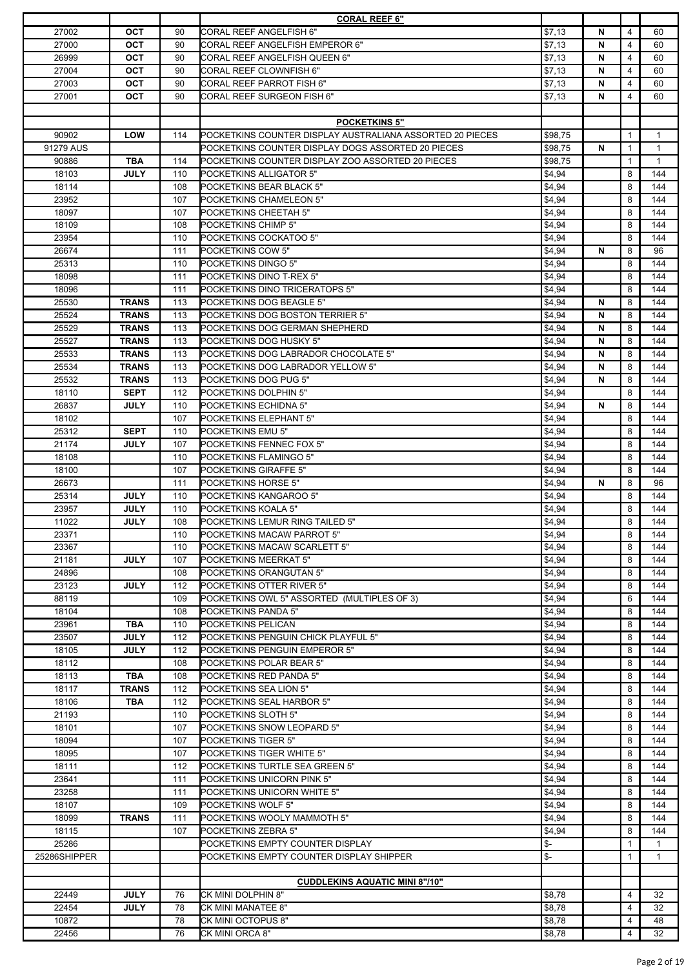|              |              |     | <b>CORAL REEF 6"</b>                                      |                |   |              |              |
|--------------|--------------|-----|-----------------------------------------------------------|----------------|---|--------------|--------------|
| 27002        | <b>OCT</b>   | 90  | <b>CORAL REEF ANGELFISH 6"</b>                            | \$7,13         | N | 4            | 60           |
| 27000        | <b>OCT</b>   | 90  | <b>CORAL REEF ANGELFISH EMPEROR 6"</b>                    | \$7,13         | N | 4            | 60           |
| 26999        | OCT          | 90  | <b>CORAL REEF ANGELFISH QUEEN 6"</b>                      | \$7,13         | N | 4            | 60           |
| 27004        | OCT          | 90  | <b>CORAL REEF CLOWNFISH 6"</b>                            | \$7,13         | N | 4            | 60           |
| 27003        | <b>OCT</b>   | 90  | CORAL REEF PARROT FISH 6"                                 | \$7,13         | N | 4            | 60           |
| 27001        | OCT          | 90  | CORAL REEF SURGEON FISH 6"                                | \$7,13         | N | 4            | 60           |
|              |              |     |                                                           |                |   |              |              |
|              |              |     |                                                           |                |   |              |              |
|              |              |     | <b>POCKETKINS 5"</b>                                      |                |   |              |              |
| 90902        | <b>LOW</b>   | 114 | POCKETKINS COUNTER DISPLAY AUSTRALIANA ASSORTED 20 PIECES | \$98,75        |   | $\mathbf{1}$ | $\mathbf{1}$ |
| 91279 AUS    |              |     | POCKETKINS COUNTER DISPLAY DOGS ASSORTED 20 PIECES        | \$98,75        | N | $\mathbf{1}$ | $\mathbf{1}$ |
| 90886        | <b>TBA</b>   | 114 | POCKETKINS COUNTER DISPLAY ZOO ASSORTED 20 PIECES         | \$98,75        |   | $\mathbf{1}$ | $\mathbf{1}$ |
| 18103        | <b>JULY</b>  | 110 | POCKETKINS ALLIGATOR 5"                                   | \$4,94         |   | 8            | 144          |
| 18114        |              | 108 | POCKETKINS BEAR BLACK 5"                                  | \$4,94         |   | 8            | 144          |
| 23952        |              | 107 | POCKETKINS CHAMELEON 5"                                   | \$4,94         |   | 8            | 144          |
| 18097        |              | 107 | POCKETKINS CHEETAH 5"                                     | \$4,94         |   | 8            | 144          |
| 18109        |              | 108 | POCKETKINS CHIMP 5"                                       | \$4,94         |   | 8            | 144          |
| 23954        |              | 110 | POCKETKINS COCKATOO 5"                                    | \$4,94         |   | 8            | 144          |
| 26674        |              | 111 | POCKETKINS COW 5"                                         | \$4,94         | N | 8            | 96           |
|              |              |     |                                                           |                |   |              |              |
| 25313        |              | 110 | POCKETKINS DINGO 5"                                       | \$4,94         |   | 8            | 144          |
| 18098        |              | 111 | POCKETKINS DINO T-REX 5"                                  | \$4,94         |   | 8            | 144          |
| 18096        |              | 111 | POCKETKINS DINO TRICERATOPS 5"                            | \$4,94         |   | 8            | 144          |
| 25530        | <b>TRANS</b> | 113 | POCKETKINS DOG BEAGLE 5"                                  | \$4,94         | N | 8            | 144          |
| 25524        | <b>TRANS</b> | 113 | POCKETKINS DOG BOSTON TERRIER 5"                          | \$4,94         | N | 8            | 144          |
| 25529        | <b>TRANS</b> | 113 | POCKETKINS DOG GERMAN SHEPHERD                            | \$4,94         | N | 8            | 144          |
| 25527        | <b>TRANS</b> | 113 | POCKETKINS DOG HUSKY 5"                                   | \$4,94         | N | 8            | 144          |
| 25533        | <b>TRANS</b> | 113 | POCKETKINS DOG LABRADOR CHOCOLATE 5"                      | \$4,94         | N | 8            | 144          |
| 25534        | <b>TRANS</b> | 113 | POCKETKINS DOG LABRADOR YELLOW 5"                         | \$4,94         | N | 8            | 144          |
| 25532        | <b>TRANS</b> | 113 | POCKETKINS DOG PUG 5"                                     | \$4,94         | N | 8            | 144          |
| 18110        | <b>SEPT</b>  | 112 | POCKETKINS DOLPHIN 5"                                     | \$4,94         |   | 8            | 144          |
|              |              |     |                                                           |                |   |              |              |
| 26837        | <b>JULY</b>  | 110 | POCKETKINS ECHIDNA 5"                                     | \$4,94         | N | 8            | 144          |
| 18102        |              | 107 | POCKETKINS ELEPHANT 5"                                    | \$4,94         |   | 8            | 144          |
| 25312        | <b>SEPT</b>  | 110 | POCKETKINS EMU 5"                                         | \$4,94         |   | 8            | 144          |
| 21174        | <b>JULY</b>  | 107 | POCKETKINS FENNEC FOX 5"                                  | \$4,94         |   | 8            | 144          |
| 18108        |              | 110 | POCKETKINS FLAMINGO 5"                                    | \$4,94         |   | 8            | 144          |
| 18100        |              | 107 | <b>POCKETKINS GIRAFFE 5"</b>                              | \$4,94         |   | 8            | 144          |
| 26673        |              | 111 | POCKETKINS HORSE 5"                                       | \$4,94         | N | 8            | 96           |
| 25314        | <b>JULY</b>  | 110 | POCKETKINS KANGAROO 5"                                    | \$4,94         |   | 8            | 144          |
| 23957        | <b>JULY</b>  | 110 | POCKETKINS KOALA 5"                                       | \$4,94         |   | 8            | 144          |
| 11022        | <b>JULY</b>  | 108 | POCKETKINS LEMUR RING TAILED 5"                           | \$4,94         |   | 8            | 144          |
| 23371        |              | 110 | POCKETKINS MACAW PARROT 5"                                | \$4,94         |   | 8            | 144          |
| 23367        |              |     | POCKETKINS MACAW SCARLETT 5"                              | \$4,94         |   | 8            | 144          |
|              |              | 110 |                                                           |                |   |              |              |
| 21181        | <b>JULY</b>  | 107 | POCKETKINS MEERKAT 5"                                     | \$4,94         |   | 8            | 144          |
| 24896        |              | 108 | POCKETKINS ORANGUTAN 5"                                   | \$4,94         |   | 8            | 144          |
| 23123        | <b>JULY</b>  | 112 | POCKETKINS OTTER RIVER 5"                                 | \$4,94         |   | 8            | 144          |
| 88119        |              | 109 | POCKETKINS OWL 5" ASSORTED (MULTIPLES OF 3)               | \$4,94         |   | 6            | 144          |
| 18104        |              | 108 | POCKETKINS PANDA 5"                                       | \$4,94         |   | 8            | 144          |
| 23961        | <b>TBA</b>   | 110 | POCKETKINS PELICAN                                        | \$4,94         |   | 8            | 144          |
| 23507        | <b>JULY</b>  | 112 | POCKETKINS PENGUIN CHICK PLAYFUL 5"                       | \$4,94         |   | 8            | 144          |
| 18105        | <b>JULY</b>  | 112 | POCKETKINS PENGUIN EMPEROR 5"                             | \$4,94         |   | 8            | 144          |
| 18112        |              | 108 | POCKETKINS POLAR BEAR 5"                                  | \$4,94         |   | 8            | 144          |
| 18113        | <b>TBA</b>   | 108 | POCKETKINS RED PANDA 5"                                   | \$4,94         |   | 8            | 144          |
| 18117        | <b>TRANS</b> | 112 | POCKETKINS SEA LION 5"                                    | \$4,94         |   | 8            | 144          |
| 18106        | <b>TBA</b>   | 112 | POCKETKINS SEAL HARBOR 5"                                 | \$4,94         |   | 8            | 144          |
|              |              |     |                                                           |                |   |              |              |
| 21193        |              | 110 | POCKETKINS SLOTH 5"                                       | \$4,94         |   | 8            | 144          |
| 18101        |              | 107 | POCKETKINS SNOW LEOPARD 5"                                | \$4,94         |   | 8            | 144          |
| 18094        |              | 107 | POCKETKINS TIGER 5"                                       | \$4,94         |   | 8            | 144          |
| 18095        |              | 107 | POCKETKINS TIGER WHITE 5"                                 | \$4,94         |   | 8            | 144          |
| 18111        |              | 112 | POCKETKINS TURTLE SEA GREEN 5"                            | \$4,94         |   | 8            | 144          |
| 23641        |              | 111 | POCKETKINS UNICORN PINK 5"                                | \$4,94         |   | 8            | 144          |
| 23258        |              | 111 | POCKETKINS UNICORN WHITE 5"                               | \$4,94         |   | 8            | 144          |
| 18107        |              | 109 | POCKETKINS WOLF 5"                                        | \$4,94         |   | 8            | 144          |
| 18099        | <b>TRANS</b> | 111 | POCKETKINS WOOLY MAMMOTH 5"                               | \$4,94         |   | 8            | 144          |
| 18115        |              | 107 | POCKETKINS ZEBRA 5"                                       | \$4,94         |   | 8            | 144          |
| 25286        |              |     | POCKETKINS EMPTY COUNTER DISPLAY                          | \$-            |   | $\mathbf{1}$ | $\mathbf{1}$ |
|              |              |     |                                                           |                |   |              |              |
| 25286SHIPPER |              |     | POCKETKINS EMPTY COUNTER DISPLAY SHIPPER                  | $\mathsf{S}$ - |   | $\mathbf{1}$ | 1            |
|              |              |     |                                                           |                |   |              |              |
|              |              |     | <b>CUDDLEKINS AQUATIC MINI 8"/10"</b>                     |                |   |              |              |
| 22449        | <b>JULY</b>  | 76  | CK MINI DOLPHIN 8"                                        | \$8,78         |   | 4            | 32           |
| 22454        | <b>JULY</b>  | 78  | CK MINI MANATEE 8"                                        | \$8,78         |   | 4            | 32           |
| 10872        |              | 78  | CK MINI OCTOPUS 8"                                        | \$8,78         |   | 4            | 48           |
| 22456        |              | 76  | CK MINI ORCA 8"                                           | \$8,78         |   | 4            | 32           |
|              |              |     |                                                           |                |   |              |              |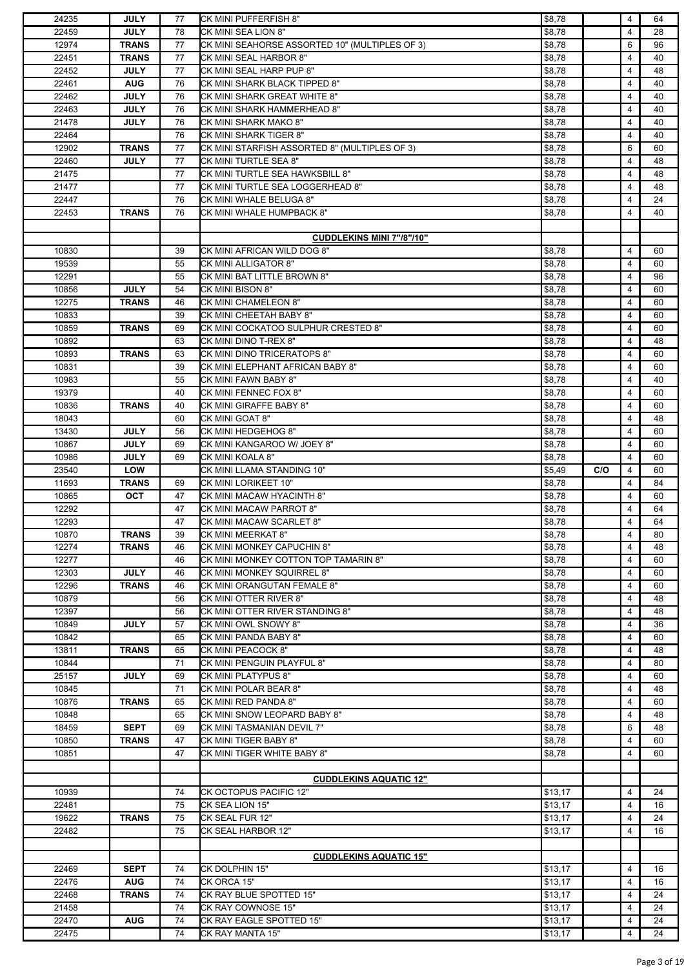| 24235 | <b>JULY</b>  | 77 | CK MINI PUFFERFISH 8"                          | \$8,78  |     | 4 | 64 |
|-------|--------------|----|------------------------------------------------|---------|-----|---|----|
| 22459 | <b>JULY</b>  | 78 | CK MINI SEA LION 8"                            | \$8,78  |     | 4 | 28 |
| 12974 | <b>TRANS</b> | 77 | CK MINI SEAHORSE ASSORTED 10" (MULTIPLES OF 3) | \$8,78  |     | 6 | 96 |
| 22451 | <b>TRANS</b> | 77 | CK MINI SEAL HARBOR 8"                         | \$8,78  |     | 4 | 40 |
| 22452 | <b>JULY</b>  | 77 | CK MINI SEAL HARP PUP 8"                       | \$8,78  |     | 4 | 48 |
| 22461 | <b>AUG</b>   | 76 | CK MINI SHARK BLACK TIPPED 8"                  | \$8,78  |     | 4 | 40 |
| 22462 | <b>JULY</b>  | 76 | CK MINI SHARK GREAT WHITE 8"                   | \$8,78  |     | 4 | 40 |
| 22463 | <b>JULY</b>  | 76 | CK MINI SHARK HAMMERHEAD 8"                    | \$8,78  |     | 4 | 40 |
| 21478 | <b>JULY</b>  | 76 | CK MINI SHARK MAKO 8"                          | \$8,78  |     | 4 | 40 |
| 22464 |              | 76 | CK MINI SHARK TIGER 8"                         | \$8,78  |     | 4 | 40 |
| 12902 | <b>TRANS</b> | 77 | CK MINI STARFISH ASSORTED 8" (MULTIPLES OF 3)  | \$8,78  |     | 6 | 60 |
| 22460 | <b>JULY</b>  | 77 | CK MINI TURTLE SEA 8"                          | \$8,78  |     | 4 | 48 |
| 21475 |              | 77 | CK MINI TURTLE SEA HAWKSBILL 8"                | \$8,78  |     | 4 | 48 |
| 21477 |              | 77 | CK MINI TURTLE SEA LOGGERHEAD 8"               | \$8,78  |     | 4 | 48 |
| 22447 |              | 76 | CK MINI WHALE BELUGA 8"                        | \$8,78  |     | 4 | 24 |
| 22453 | <b>TRANS</b> | 76 | CK MINI WHALE HUMPBACK 8"                      | \$8,78  |     | 4 | 40 |
|       |              |    |                                                |         |     |   |    |
|       |              |    |                                                |         |     |   |    |
|       |              |    | <b>CUDDLEKINS MINI 7"/8"/10"</b>               |         |     |   |    |
| 10830 |              | 39 | CK MINI AFRICAN WILD DOG 8"                    | \$8,78  |     | 4 | 60 |
| 19539 |              | 55 | <b>CK MINI ALLIGATOR 8"</b>                    | \$8,78  |     | 4 | 60 |
| 12291 |              | 55 | CK MINI BAT LITTLE BROWN 8"                    | \$8,78  |     | 4 | 96 |
| 10856 | <b>JULY</b>  | 54 | CK MINI BISON 8"                               | \$8,78  |     | 4 | 60 |
| 12275 | <b>TRANS</b> | 46 | CK MINI CHAMELEON 8"                           | \$8,78  |     | 4 | 60 |
| 10833 |              | 39 | CK MINI CHEETAH BABY 8"                        | \$8,78  |     | 4 | 60 |
| 10859 | <b>TRANS</b> | 69 | CK MINI COCKATOO SULPHUR CRESTED 8"            | \$8,78  |     | 4 | 60 |
| 10892 |              | 63 | CK MINI DINO T-REX 8"                          | \$8,78  |     | 4 | 48 |
| 10893 | <b>TRANS</b> | 63 | CK MINI DINO TRICERATOPS 8"                    | \$8,78  |     | 4 | 60 |
| 10831 |              | 39 | CK MINI ELEPHANT AFRICAN BABY 8"               | \$8,78  |     | 4 | 60 |
| 10983 |              | 55 | CK MINI FAWN BABY 8"                           | \$8,78  |     | 4 | 40 |
| 19379 |              | 40 | CK MINI FENNEC FOX 8"                          | \$8,78  |     | 4 | 60 |
| 10836 | <b>TRANS</b> | 40 | CK MINI GIRAFFE BABY 8"                        | \$8,78  |     | 4 | 60 |
| 18043 |              | 60 | CK MINI GOAT 8"                                | \$8,78  |     | 4 | 48 |
| 13430 | <b>JULY</b>  | 56 | CK MINI HEDGEHOG 8"                            | \$8,78  |     | 4 | 60 |
| 10867 | <b>JULY</b>  | 69 | CK MINI KANGAROO W/ JOEY 8"                    | \$8,78  |     | 4 | 60 |
| 10986 | <b>JULY</b>  | 69 | CK MINI KOALA 8"                               | \$8,78  |     | 4 | 60 |
| 23540 | LOW          |    | CK MINI LLAMA STANDING 10"                     | \$5,49  | C/O | 4 | 60 |
| 11693 | <b>TRANS</b> | 69 | CK MINI LORIKEET 10"                           | \$8,78  |     | 4 | 84 |
| 10865 | <b>OCT</b>   | 47 | CK MINI MACAW HYACINTH 8"                      | \$8,78  |     | 4 | 60 |
| 12292 |              | 47 | CK MINI MACAW PARROT 8"                        | \$8,78  |     | 4 | 64 |
| 12293 |              | 47 | <b>CK MINI MACAW SCARLET 8"</b>                | \$8,78  |     | 4 | 64 |
| 10870 | <b>TRANS</b> | 39 | CK MINI MEERKAT 8"                             | \$8,78  |     | 4 | 80 |
| 12274 | <b>TRANS</b> | 46 | CK MINI MONKEY CAPUCHIN 8"                     | \$8,78  |     | 4 | 48 |
|       |              |    |                                                |         |     |   |    |
| 12277 |              | 46 | CK MINI MONKEY COTTON TOP TAMARIN 8"           | \$8,78  |     | 4 | 60 |
| 12303 | <b>JULY</b>  | 46 | CK MINI MONKEY SQUIRREL 8"                     | \$8,78  |     | 4 | 60 |
| 12296 | <b>TRANS</b> | 46 | CK MINI ORANGUTAN FEMALE 8"                    | \$8,78  |     | 4 | 60 |
| 10879 |              | 56 | CK MINI OTTER RIVER 8"                         | \$8,78  |     | 4 | 48 |
| 12397 |              | 56 | CK MINI OTTER RIVER STANDING 8"                | \$8,78  |     | 4 | 48 |
| 10849 | <b>JULY</b>  | 57 | CK MINI OWL SNOWY 8"                           | \$8,78  |     | 4 | 36 |
| 10842 |              | 65 | CK MINI PANDA BABY 8"                          | \$8,78  |     | 4 | 60 |
| 13811 | <b>TRANS</b> | 65 | CK MINI PEACOCK 8"                             | \$8,78  |     | 4 | 48 |
| 10844 |              | 71 | CK MINI PENGUIN PLAYFUL 8"                     | \$8,78  |     | 4 | 80 |
| 25157 | <b>JULY</b>  | 69 | <b>CK MINI PLATYPUS 8"</b>                     | \$8,78  |     | 4 | 60 |
| 10845 |              | 71 | CK MINI POLAR BEAR 8"                          | \$8,78  |     | 4 | 48 |
| 10876 | <b>TRANS</b> | 65 | CK MINI RED PANDA 8"                           | \$8,78  |     | 4 | 60 |
| 10848 |              | 65 | CK MINI SNOW LEOPARD BABY 8"                   | \$8,78  |     | 4 | 48 |
| 18459 | <b>SEPT</b>  | 69 | CK MINI TASMANIAN DEVIL 7"                     | \$8,78  |     | 6 | 48 |
| 10850 | <b>TRANS</b> | 47 | CK MINI TIGER BABY 8"                          | \$8,78  |     | 4 | 60 |
| 10851 |              | 47 | CK MINI TIGER WHITE BABY 8"                    | \$8,78  |     | 4 | 60 |
|       |              |    |                                                |         |     |   |    |
|       |              |    | <b>CUDDLEKINS AQUATIC 12"</b>                  |         |     |   |    |
| 10939 |              | 74 | CK OCTOPUS PACIFIC 12"                         | \$13,17 |     | 4 | 24 |
| 22481 |              | 75 | CK SEA LION 15"                                | \$13,17 |     | 4 | 16 |
| 19622 | <b>TRANS</b> | 75 | CK SEAL FUR 12"                                | \$13,17 |     | 4 | 24 |
| 22482 |              | 75 | CK SEAL HARBOR 12"                             | \$13,17 |     | 4 | 16 |
|       |              |    |                                                |         |     |   |    |
|       |              |    | <b>CUDDLEKINS AQUATIC 15"</b>                  |         |     |   |    |
| 22469 | <b>SEPT</b>  | 74 | CK DOLPHIN 15"                                 | \$13,17 |     | 4 | 16 |
| 22476 | <b>AUG</b>   | 74 | CK ORCA 15"                                    | \$13,17 |     | 4 | 16 |
| 22468 | <b>TRANS</b> | 74 | CK RAY BLUE SPOTTED 15"                        | \$13,17 |     | 4 | 24 |
| 21458 |              | 74 | CK RAY COWNOSE 15"                             | \$13,17 |     | 4 | 24 |
| 22470 | <b>AUG</b>   | 74 | CK RAY EAGLE SPOTTED 15"                       | \$13,17 |     | 4 | 24 |
| 22475 |              | 74 | CK RAY MANTA 15"                               | \$13,17 |     | 4 | 24 |
|       |              |    |                                                |         |     |   |    |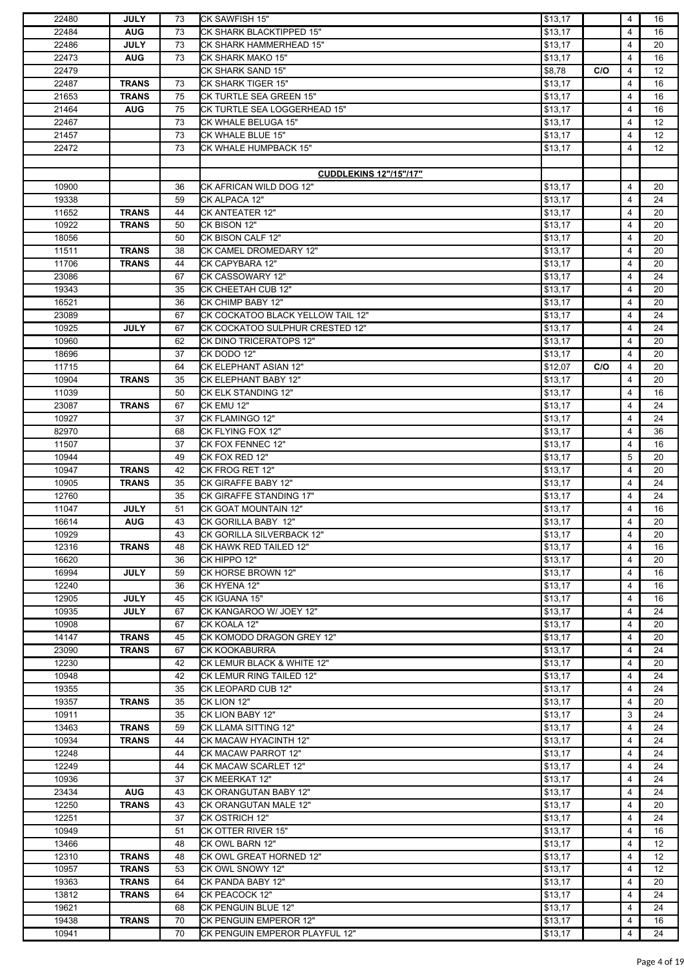| 22480 | <b>JULY</b>  | 73 | CK SAWFISH 15"                    | \$13,17 |     | 4              | 16                |
|-------|--------------|----|-----------------------------------|---------|-----|----------------|-------------------|
| 22484 | <b>AUG</b>   | 73 | CK SHARK BLACKTIPPED 15"          | \$13,17 |     | 4              | 16                |
| 22486 | <b>JULY</b>  | 73 | CK SHARK HAMMERHEAD 15"           | \$13,17 |     | 4              | 20                |
| 22473 | <b>AUG</b>   | 73 | CK SHARK MAKO 15"                 | \$13,17 |     | 4              | 16                |
|       |              |    |                                   |         |     |                |                   |
| 22479 |              |    | CK SHARK SAND 15"                 | \$8,78  | C/O | 4              | 12                |
| 22487 | <b>TRANS</b> | 73 | CK SHARK TIGER 15"                | \$13,17 |     | 4              | 16                |
| 21653 | <b>TRANS</b> | 75 | CK TURTLE SEA GREEN 15"           | \$13,17 |     | 4              | 16                |
| 21464 | <b>AUG</b>   | 75 | CK TURTLE SEA LOGGERHEAD 15"      | \$13,17 |     | 4              | 16                |
| 22467 |              | 73 | CK WHALE BELUGA 15"               | \$13,17 |     | 4              | 12                |
| 21457 |              | 73 | CK WHALE BLUE 15"                 | \$13,17 |     | 4              | 12                |
| 22472 |              | 73 | CK WHALE HUMPBACK 15"             | \$13,17 |     | 4              | 12                |
|       |              |    |                                   |         |     |                |                   |
|       |              |    |                                   |         |     |                |                   |
|       |              |    | <b>CUDDLEKINS 12"/15"/17"</b>     |         |     |                |                   |
| 10900 |              | 36 | CK AFRICAN WILD DOG 12"           | \$13,17 |     | 4              | 20                |
| 19338 |              | 59 | CK ALPACA 12"                     | \$13,17 |     | $\overline{4}$ | 24                |
| 11652 | <b>TRANS</b> | 44 | CK ANTEATER 12"                   | \$13,17 |     | 4              | 20                |
| 10922 | <b>TRANS</b> | 50 | CK BISON 12"                      | \$13,17 |     | 4              | 20                |
| 18056 |              | 50 | CK BISON CALF 12"                 | \$13,17 |     | 4              | 20                |
| 11511 | <b>TRANS</b> | 38 | CK CAMEL DROMEDARY 12"            | \$13,17 |     | 4              | 20                |
| 11706 | <b>TRANS</b> | 44 | CK CAPYBARA 12"                   | \$13,17 |     | 4              | 20                |
| 23086 |              | 67 | CK CASSOWARY 12"                  | \$13,17 |     | 4              | 24                |
| 19343 |              | 35 | CK CHEETAH CUB 12"                | \$13,17 |     | 4              | 20                |
| 16521 |              | 36 |                                   |         |     | 4              | 20                |
|       |              |    | CK CHIMP BABY 12"                 | \$13,17 |     |                |                   |
| 23089 |              | 67 | CK COCKATOO BLACK YELLOW TAIL 12" | \$13,17 |     | 4              | 24                |
| 10925 | <b>JULY</b>  | 67 | CK COCKATOO SULPHUR CRESTED 12"   | \$13,17 |     | 4              | 24                |
| 10960 |              | 62 | CK DINO TRICERATOPS 12"           | \$13,17 |     | 4              | 20                |
| 18696 |              | 37 | CK DODO 12"                       | \$13,17 |     | 4              | 20                |
| 11715 |              | 64 | CK ELEPHANT ASIAN 12"             | \$12,07 | C/O | 4              | 20                |
| 10904 | <b>TRANS</b> | 35 | CK ELEPHANT BABY 12"              | \$13,17 |     | 4              | 20                |
| 11039 |              | 50 | CK ELK STANDING 12"               | \$13,17 |     | 4              | 16                |
| 23087 | <b>TRANS</b> | 67 | CK EMU 12"                        | \$13,17 |     | 4              | 24                |
| 10927 |              | 37 | CK FLAMINGO 12"                   | \$13,17 |     | 4              | 24                |
| 82970 |              | 68 | CK FLYING FOX 12"                 | \$13,17 |     | 4              | 36                |
| 11507 |              | 37 | CK FOX FENNEC 12"                 | \$13,17 |     | 4              | 16                |
|       |              |    |                                   |         |     |                |                   |
| 10944 |              | 49 | CK FOX RED 12"                    | \$13,17 |     | 5              | 20                |
| 10947 | <b>TRANS</b> | 42 | CK FROG RET 12"                   | \$13,17 |     | 4              | 20                |
| 10905 | <b>TRANS</b> | 35 | CK GIRAFFE BABY 12"               | \$13,17 |     | 4              | 24                |
| 12760 |              | 35 | CK GIRAFFE STANDING 17"           | \$13,17 |     | 4              | 24                |
| 11047 | <b>JULY</b>  | 51 | CK GOAT MOUNTAIN 12"              | \$13,17 |     | 4              | 16                |
| 16614 | <b>AUG</b>   | 43 | CK GORILLA BABY 12"               | \$13,17 |     | 4              | 20                |
| 10929 |              | 43 | CK GORILLA SILVERBACK 12"         | \$13,17 |     | 4              | 20                |
| 12316 | <b>TRANS</b> | 48 | ICK HAWK RED TAILED 12"           | \$13.17 |     | 4              | 16                |
| 16620 |              | 36 | CK HIPPO 12"                      | \$13,17 |     | 4              | 20                |
| 16994 | <b>JULY</b>  | 59 | CK HORSE BROWN 12"                | \$13,17 |     | 4              | 16                |
| 12240 |              | 36 | CK HYENA 12"                      | \$13,17 |     | 4              | 16                |
| 12905 |              | 45 | CK IGUANA 15"                     |         |     | 4              |                   |
|       | <b>JULY</b>  |    |                                   | \$13,17 |     |                | 16                |
| 10935 | <b>JULY</b>  | 67 | CK KANGAROO W/ JOEY 12"           | \$13,17 |     | 4              | 24                |
| 10908 |              | 67 | CK KOALA 12"                      | \$13,17 |     | 4              | 20                |
| 14147 | <b>TRANS</b> | 45 | CK KOMODO DRAGON GREY 12"         | \$13,17 |     | 4              | 20                |
| 23090 | <b>TRANS</b> | 67 | <b>CK KOOKABURRA</b>              | \$13,17 |     | 4              | 24                |
| 12230 |              | 42 | CK LEMUR BLACK & WHITE 12"        | \$13,17 |     | 4              | 20                |
| 10948 |              | 42 | CK LEMUR RING TAILED 12"          | \$13,17 |     | 4              | 24                |
| 19355 |              | 35 | CK LEOPARD CUB 12"                | \$13,17 |     | 4              | 24                |
| 19357 | <b>TRANS</b> | 35 | CK LION 12"                       | \$13,17 |     | 4              | 20                |
| 10911 |              | 35 | CK LION BABY 12"                  | \$13,17 |     | 3              | 24                |
| 13463 | <b>TRANS</b> | 59 | CK LLAMA SITTING 12"              | \$13,17 |     | 4              | 24                |
| 10934 | <b>TRANS</b> | 44 | CK MACAW HYACINTH 12"             |         |     | 4              | 24                |
|       |              |    |                                   | \$13,17 |     |                |                   |
| 12248 |              | 44 | CK MACAW PARROT 12"               | \$13,17 |     | 4              | 24                |
| 12249 |              | 44 | CK MACAW SCARLET 12"              | \$13,17 |     | 4              | 24                |
| 10936 |              | 37 | CK MEERKAT 12"                    | \$13,17 |     | 4              | 24                |
| 23434 | <b>AUG</b>   | 43 | CK ORANGUTAN BABY 12"             | \$13,17 |     | 4              | 24                |
| 12250 | <b>TRANS</b> | 43 | CK ORANGUTAN MALE 12"             | \$13,17 |     | 4              | 20                |
| 12251 |              | 37 | <b>CK OSTRICH 12"</b>             | \$13,17 |     | 4              | 24                |
| 10949 |              | 51 | CK OTTER RIVER 15"                | \$13,17 |     | 4              | 16                |
| 13466 |              | 48 | CK OWL BARN 12"                   | \$13,17 |     | 4              | $12 \overline{ }$ |
| 12310 | <b>TRANS</b> | 48 | CK OWL GREAT HORNED 12"           | \$13,17 |     | 4              | 12                |
| 10957 | <b>TRANS</b> | 53 | CK OWL SNOWY 12"                  | \$13,17 |     | 4              | 12                |
| 19363 | <b>TRANS</b> | 64 | CK PANDA BABY 12"                 | \$13,17 |     | 4              | 20                |
| 13812 | <b>TRANS</b> | 64 | CK PEACOCK 12"                    | \$13,17 |     | 4              | 24                |
| 19621 |              | 68 | CK PENGUIN BLUE 12"               | \$13,17 |     | 4              | 24                |
| 19438 | <b>TRANS</b> | 70 | CK PENGUIN EMPEROR 12"            | \$13,17 |     | 4              | 16                |
|       |              |    |                                   |         |     |                |                   |
| 10941 |              | 70 | CK PENGUIN EMPEROR PLAYFUL 12"    | \$13,17 |     | 4              | 24                |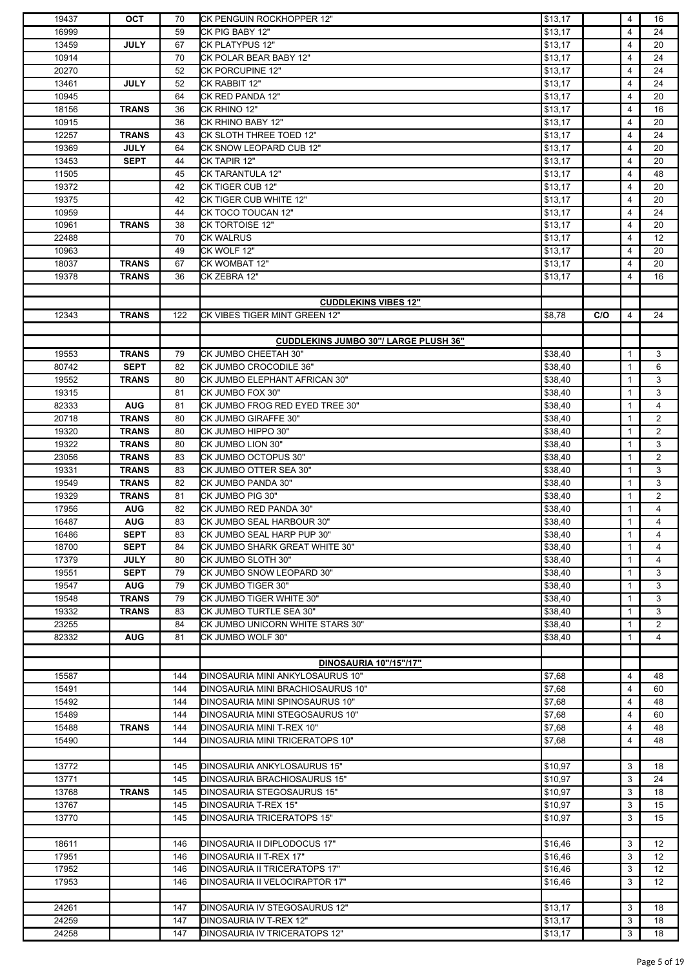| 19437 | <b>OCT</b>   | 70  | CK PENGUIN ROCKHOPPER 12"                    | \$13,17 |     | 4            | 16                |
|-------|--------------|-----|----------------------------------------------|---------|-----|--------------|-------------------|
| 16999 |              | 59  | CK PIG BABY 12"                              | \$13,17 |     | 4            | 24                |
| 13459 | <b>JULY</b>  | 67  | <b>CK PLATYPUS 12"</b>                       | \$13,17 |     | 4            | 20                |
|       |              |     |                                              |         |     |              |                   |
| 10914 |              | 70  | CK POLAR BEAR BABY 12"                       | \$13,17 |     | 4            | 24                |
| 20270 |              | 52  | <b>CK PORCUPINE 12"</b>                      | \$13,17 |     | 4            | 24                |
| 13461 | <b>JULY</b>  | 52  | CK RABBIT 12"                                | \$13,17 |     | 4            | 24                |
| 10945 |              | 64  | CK RED PANDA 12"                             | \$13,17 |     | 4            | 20                |
| 18156 | <b>TRANS</b> | 36  | CK RHINO 12"                                 | \$13,17 |     | 4            | 16                |
|       |              |     |                                              |         |     |              |                   |
| 10915 |              | 36  | CK RHINO BABY 12"                            | \$13,17 |     | 4            | 20                |
| 12257 | <b>TRANS</b> | 43  | CK SLOTH THREE TOED 12"                      | \$13,17 |     | 4            | 24                |
| 19369 | <b>JULY</b>  | 64  | CK SNOW LEOPARD CUB 12"                      | \$13,17 |     | 4            | 20                |
| 13453 | <b>SEPT</b>  | 44  | CK TAPIR 12"                                 | \$13,17 |     | 4            | 20                |
| 11505 |              | 45  | <b>CK TARANTULA 12"</b>                      | \$13,17 |     | 4            | 48                |
| 19372 |              | 42  | CK TIGER CUB 12"                             |         |     |              | 20                |
|       |              |     |                                              | \$13,17 |     | 4            |                   |
| 19375 |              | 42  | CK TIGER CUB WHITE 12"                       | \$13,17 |     | 4            | 20                |
| 10959 |              | 44  | CK TOCO TOUCAN 12"                           | \$13,17 |     | 4            | 24                |
| 10961 | <b>TRANS</b> | 38  | <b>CK TORTOISE 12"</b>                       | \$13,17 |     | 4            | 20                |
| 22488 |              | 70  | <b>CK WALRUS</b>                             | \$13,17 |     | 4            | $12 \overline{ }$ |
|       |              |     |                                              |         |     |              |                   |
| 10963 |              | 49  | CK WOLF 12"                                  | \$13,17 |     | 4            | 20                |
| 18037 | <b>TRANS</b> | 67  | CK WOMBAT 12"                                | \$13.17 |     | 4            | 20                |
| 19378 | <b>TRANS</b> | 36  | CK ZEBRA 12"                                 | \$13,17 |     | 4            | 16                |
|       |              |     |                                              |         |     |              |                   |
|       |              |     | <b>CUDDLEKINS VIBES 12"</b>                  |         |     |              |                   |
|       |              |     | CK VIBES TIGER MINT GREEN 12"                |         |     |              |                   |
| 12343 | <b>TRANS</b> | 122 |                                              | \$8,78  | C/O | 4            | 24                |
|       |              |     |                                              |         |     |              |                   |
|       |              |     | <b>CUDDLEKINS JUMBO 30"/ LARGE PLUSH 36"</b> |         |     |              |                   |
| 19553 | <b>TRANS</b> | 79  | CK JUMBO CHEETAH 30"                         | \$38,40 |     | $\mathbf{1}$ | 3                 |
| 80742 | <b>SEPT</b>  | 82  | CK JUMBO CROCODILE 36"                       | \$38,40 |     | $\mathbf{1}$ | 6                 |
| 19552 | <b>TRANS</b> | 80  | CK JUMBO ELEPHANT AFRICAN 30"                | \$38,40 |     | $\mathbf{1}$ | 3                 |
|       |              |     |                                              |         |     |              |                   |
| 19315 |              | 81  | CK JUMBO FOX 30"                             | \$38,40 |     | 1            | 3                 |
| 82333 | <b>AUG</b>   | 81  | CK JUMBO FROG RED EYED TREE 30"              | \$38,40 |     | 1            | $\overline{4}$    |
| 20718 | <b>TRANS</b> | 80  | CK JUMBO GIRAFFE 30"                         | \$38,40 |     | 1            | $\overline{2}$    |
| 19320 | <b>TRANS</b> | 80  | CK JUMBO HIPPO 30"                           | \$38,40 |     | $\mathbf{1}$ | $\overline{2}$    |
| 19322 | <b>TRANS</b> |     | CK JUMBO LION 30"                            |         |     | $\mathbf{1}$ | 3                 |
|       |              | 80  |                                              | \$38,40 |     |              |                   |
| 23056 | <b>TRANS</b> | 83  | CK JUMBO OCTOPUS 30"                         | \$38,40 |     | $\mathbf{1}$ | $\overline{2}$    |
| 19331 | <b>TRANS</b> | 83  | CK JUMBO OTTER SEA 30"                       | \$38,40 |     | $\mathbf{1}$ | 3                 |
| 19549 | <b>TRANS</b> | 82  | CK JUMBO PANDA 30"                           | \$38,40 |     | $\mathbf{1}$ | 3                 |
| 19329 | <b>TRANS</b> | 81  | CK JUMBO PIG 30"                             | \$38,40 |     | 1            | $\overline{2}$    |
|       |              |     |                                              |         |     |              |                   |
| 17956 | <b>AUG</b>   | 82  | CK JUMBO RED PANDA 30"                       | \$38,40 |     | 1            | 4                 |
| 16487 | <b>AUG</b>   | 83  | CK JUMBO SEAL HARBOUR 30"                    | \$38,40 |     | $\mathbf{1}$ | 4                 |
| 16486 | <b>SEPT</b>  | 83  | CK JUMBO SEAL HARP PUP 30"                   | \$38,40 |     | $\mathbf{1}$ | 4                 |
| 18700 | <b>SEPT</b>  | 84  | CK JUMBO SHARK GREAT WHITE 30"               | \$38,40 |     | $\mathbf{1}$ | $\overline{4}$    |
| 17379 | <b>JULY</b>  | 80  | CK JUMBO SLOTH 30"                           | \$38,40 |     | 1            | 4                 |
|       |              |     | CK JUMBO SNOW LEOPARD 30"                    |         |     | $\mathbf{1}$ |                   |
| 19551 | <b>SEPT</b>  | 79  |                                              | \$38,40 |     |              | 3                 |
| 19547 | <b>AUG</b>   | 79  | CK JUMBO TIGER 30"                           | \$38,40 |     | $\mathbf{1}$ | 3                 |
| 19548 | <b>TRANS</b> | 79  | CK JUMBO TIGER WHITE 30"                     | \$38,40 |     | 1            | 3                 |
| 19332 | TRANS        | 83  | CK JUMBO TURTLE SEA 30"                      | \$38,40 |     | 1            | 3                 |
| 23255 |              | 84  | CK JUMBO UNICORN WHITE STARS 30"             | \$38,40 |     | $\mathbf{1}$ | $\overline{2}$    |
| 82332 | <b>AUG</b>   | 81  | CK JUMBO WOLF 30"                            | \$38,40 |     | $\mathbf{1}$ | 4                 |
|       |              |     |                                              |         |     |              |                   |
|       |              |     |                                              |         |     |              |                   |
|       |              |     | <b>DINOSAURIA 10"/15"/17"</b>                |         |     |              |                   |
| 15587 |              | 144 | DINOSAURIA MINI ANKYLOSAURUS 10"             | \$7,68  |     | 4            | 48                |
| 15491 |              | 144 | DINOSAURIA MINI BRACHIOSAURUS 10"            | \$7,68  |     | 4            | 60                |
| 15492 |              | 144 | DINOSAURIA MINI SPINOSAURUS 10"              | \$7,68  |     | 4            | 48                |
| 15489 |              | 144 | DINOSAURIA MINI STEGOSAURUS 10"              | \$7,68  |     | 4            | 60                |
|       |              |     |                                              |         |     |              |                   |
| 15488 | <b>TRANS</b> | 144 | DINOSAURIA MINI T-REX 10"                    | \$7,68  |     | 4            | 48                |
| 15490 |              | 144 | DINOSAURIA MINI TRICERATOPS 10"              | \$7,68  |     | 4            | 48                |
|       |              |     |                                              |         |     |              |                   |
| 13772 |              | 145 | DINOSAURIA ANKYLOSAURUS 15"                  | \$10,97 |     | 3            | 18                |
| 13771 |              | 145 | DINOSAURIA BRACHIOSAURUS 15"                 | \$10,97 |     | 3            | 24                |
| 13768 | <b>TRANS</b> | 145 | DINOSAURIA STEGOSAURUS 15"                   | \$10,97 |     | 3            | 18                |
|       |              |     |                                              |         |     |              |                   |
| 13767 |              | 145 | DINOSAURIA T-REX 15"                         | \$10,97 |     | 3            | 15                |
| 13770 |              | 145 | DINOSAURIA TRICERATOPS 15"                   | \$10,97 |     | 3            | 15                |
|       |              |     |                                              |         |     |              |                   |
| 18611 |              | 146 | DINOSAURIA II DIPLODOCUS 17"                 | \$16,46 |     | 3            | 12                |
| 17951 |              | 146 | DINOSAURIA II T-REX 17"                      | \$16,46 |     | 3            | 12 <sup>°</sup>   |
| 17952 |              | 146 | DINOSAURIA II TRICERATOPS 17"                |         |     | 3            | $12 \overline{ }$ |
|       |              |     |                                              | \$16,46 |     |              |                   |
| 17953 |              | 146 | DINOSAURIA II VELOCIRAPTOR 17"               | \$16,46 |     | 3            | $12 \overline{ }$ |
|       |              |     |                                              |         |     |              |                   |
| 24261 |              | 147 | DINOSAURIA IV STEGOSAURUS 12"                | \$13,17 |     | 3            | 18                |
| 24259 |              | 147 | DINOSAURIA IV T-REX 12"                      | \$13,17 |     | 3            | 18                |
| 24258 |              | 147 | DINOSAURIA IV TRICERATOPS 12"                |         |     | 3            | 18                |
|       |              |     |                                              | \$13,17 |     |              |                   |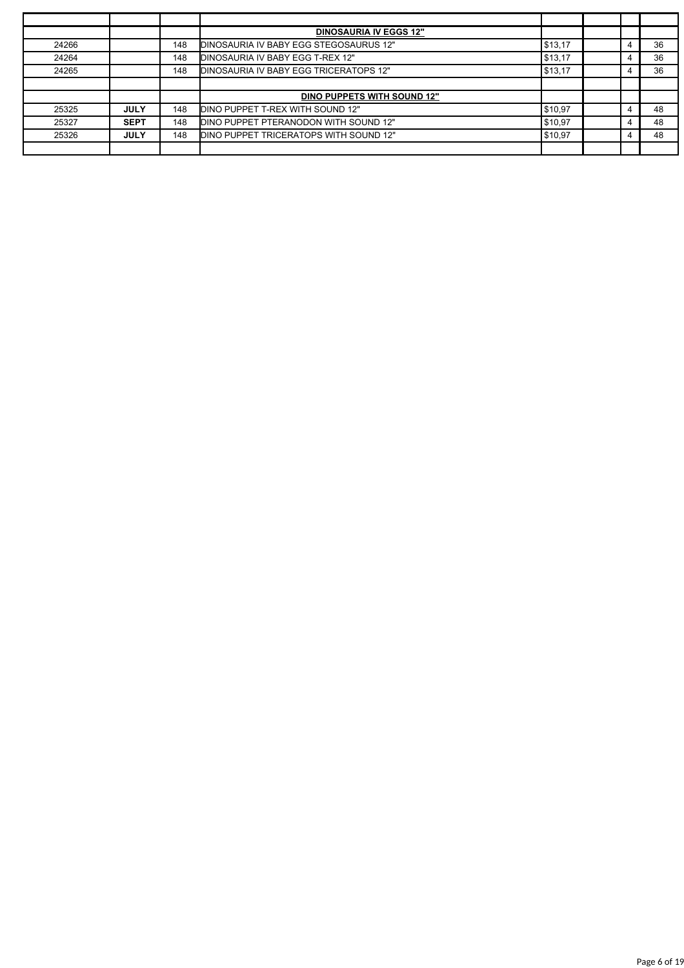|       |             |     | <b>DINOSAURIA IV EGGS 12"</b>          |         |  |    |
|-------|-------------|-----|----------------------------------------|---------|--|----|
| 24266 |             | 148 | DINOSAURIA IV BABY EGG STEGOSAURUS 12" | \$13,17 |  | 36 |
| 24264 |             | 148 | DINOSAURIA IV BABY EGG T-REX 12"       | \$13,17 |  | 36 |
| 24265 |             | 148 | DINOSAURIA IV BABY EGG TRICERATOPS 12" | \$13,17 |  | 36 |
|       |             |     |                                        |         |  |    |
|       |             |     | DINO PUPPETS WITH SOUND 12"            |         |  |    |
| 25325 | <b>JULY</b> | 148 | DINO PUPPET T-REX WITH SOUND 12"       | \$10,97 |  | 48 |
| 25327 | <b>SEPT</b> | 148 | DINO PUPPET PTERANODON WITH SOUND 12"  | \$10,97 |  | 48 |
| 25326 | <b>JULY</b> | 148 | DINO PUPPET TRICERATOPS WITH SOUND 12" | \$10,97 |  | 48 |
|       |             |     |                                        |         |  |    |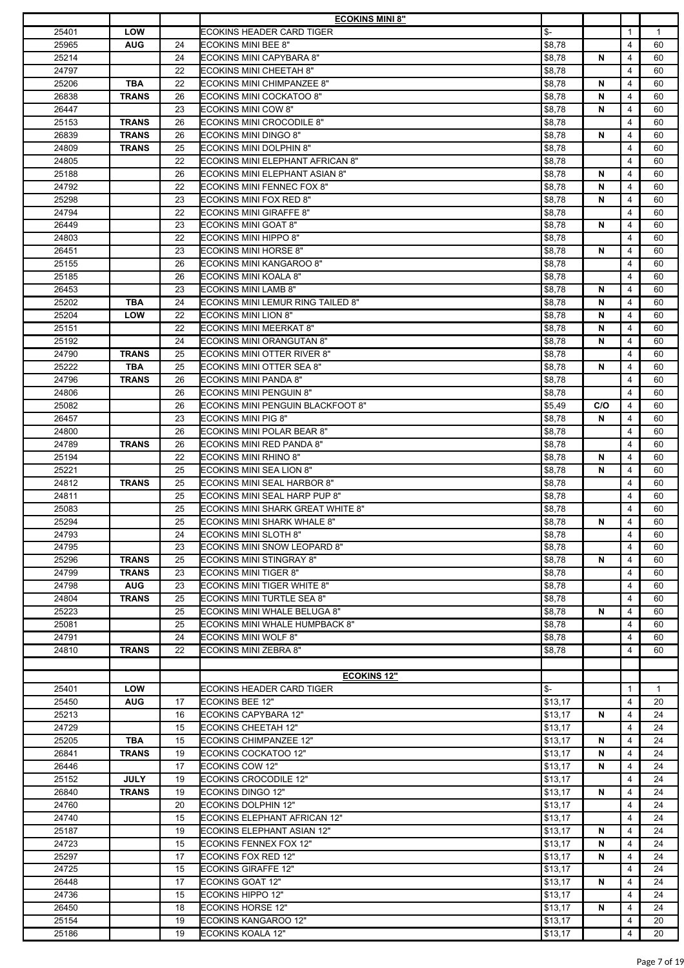|       |              |    | <b>ECOKINS MINI 8"</b>                   |                |     |              |              |
|-------|--------------|----|------------------------------------------|----------------|-----|--------------|--------------|
| 25401 | LOW          |    | ECOKINS HEADER CARD TIGER                | $\mathbb{S}^-$ |     | $\mathbf{1}$ | $\mathbf{1}$ |
| 25965 | <b>AUG</b>   | 24 | <b>ECOKINS MINI BEE 8"</b>               | \$8,78         |     | 4            | 60           |
| 25214 |              | 24 | ECOKINS MINI CAPYBARA 8"                 | \$8,78         | N   | 4            | 60           |
| 24797 |              | 22 | <b>ECOKINS MINI CHEETAH 8"</b>           | \$8,78         |     | 4            | 60           |
| 25206 | <b>TBA</b>   | 22 | ECOKINS MINI CHIMPANZEE 8"               | \$8,78         | N   | 4            | 60           |
| 26838 | <b>TRANS</b> | 26 | ECOKINS MINI COCKATOO 8"                 | \$8,78         | N   | 4            | 60           |
|       |              |    |                                          |                |     |              |              |
| 26447 |              | 23 | <b>ECOKINS MINI COW 8"</b>               | \$8,78         | N   | 4            | 60           |
| 25153 | <b>TRANS</b> | 26 | <b>ECOKINS MINI CROCODILE 8"</b>         | \$8,78         |     | 4            | 60           |
| 26839 | <b>TRANS</b> | 26 | <b>ECOKINS MINI DINGO 8"</b>             | \$8,78         | N   | 4            | 60           |
| 24809 | <b>TRANS</b> | 25 | <b>ECOKINS MINI DOLPHIN 8"</b>           | \$8,78         |     | 4            | 60           |
| 24805 |              | 22 | ECOKINS MINI ELEPHANT AFRICAN 8"         | \$8,78         |     | 4            | 60           |
| 25188 |              | 26 | ECOKINS MINI ELEPHANT ASIAN 8"           | \$8,78         | N   | 4            | 60           |
| 24792 |              | 22 | <b>ECOKINS MINI FENNEC FOX 8"</b>        | \$8,78         | N   | 4            | 60           |
| 25298 |              | 23 | <b>ECOKINS MINI FOX RED 8"</b>           | \$8,78         | N   | 4            | 60           |
| 24794 |              | 22 | <b>ECOKINS MINI GIRAFFE 8"</b>           | \$8,78         |     | 4            | 60           |
| 26449 |              | 23 | <b>ECOKINS MINI GOAT 8"</b>              | \$8,78         | N   | 4            | 60           |
|       |              | 22 |                                          |                |     |              |              |
| 24803 |              |    | <b>ECOKINS MINI HIPPO 8"</b>             | \$8,78         |     | 4            | 60           |
| 26451 |              | 23 | <b>ECOKINS MINI HORSE 8"</b>             | \$8,78         | N   | 4            | 60           |
| 25155 |              | 26 | <b>ECOKINS MINI KANGAROO 8"</b>          | \$8,78         |     | 4            | 60           |
| 25185 |              | 26 | ECOKINS MINI KOALA 8"                    | \$8,78         |     | 4            | 60           |
| 26453 |              | 23 | <b>ECOKINS MINI LAMB 8"</b>              | \$8,78         | N   | 4            | 60           |
| 25202 | <b>TBA</b>   | 24 | ECOKINS MINI LEMUR RING TAILED 8"        | \$8,78         | N   | 4            | 60           |
| 25204 | LOW          | 22 | <b>ECOKINS MINI LION 8"</b>              | \$8,78         | N   | 4            | 60           |
| 25151 |              | 22 | <b>ECOKINS MINI MEERKAT 8"</b>           | \$8,78         | N   | 4            | 60           |
| 25192 |              | 24 | ECOKINS MINI ORANGUTAN 8"                | \$8,78         | N   | 4            | 60           |
| 24790 | <b>TRANS</b> | 25 | <b>ECOKINS MINI OTTER RIVER 8"</b>       | \$8,78         |     | 4            | 60           |
| 25222 | TBA          | 25 | ECOKINS MINI OTTER SEA 8"                | \$8,78         | N   | 4            | 60           |
|       |              |    |                                          |                |     |              |              |
| 24796 | <b>TRANS</b> | 26 | <b>ECOKINS MINI PANDA 8"</b>             | \$8,78         |     | 4            | 60           |
| 24806 |              | 26 | <b>ECOKINS MINI PENGUIN 8"</b>           | \$8,78         |     | 4            | 60           |
| 25082 |              | 26 | <b>ECOKINS MINI PENGUIN BLACKFOOT 8"</b> | \$5,49         | C/O | 4            | 60           |
| 26457 |              | 23 | <b>ECOKINS MINI PIG 8"</b>               | \$8,78         | N   | 4            | 60           |
| 24800 |              | 26 | ECOKINS MINI POLAR BEAR 8"               | \$8,78         |     | 4            | 60           |
| 24789 | <b>TRANS</b> | 26 | ECOKINS MINI RED PANDA 8"                | \$8,78         |     | 4            | 60           |
| 25194 |              | 22 | <b>ECOKINS MINI RHINO 8"</b>             | \$8,78         | N   | 4            | 60           |
| 25221 |              | 25 | ECOKINS MINI SEA LION 8"                 | \$8,78         | N   | 4            | 60           |
| 24812 | <b>TRANS</b> | 25 | ECOKINS MINI SEAL HARBOR 8"              | \$8,78         |     | 4            | 60           |
| 24811 |              | 25 | ECOKINS MINI SEAL HARP PUP 8"            | \$8,78         |     | 4            | 60           |
| 25083 |              | 25 | ECOKINS MINI SHARK GREAT WHITE 8"        | \$8,78         |     | 4            | 60           |
| 25294 |              | 25 |                                          |                | N   | 4            | 60           |
|       |              |    | <b>ECOKINS MINI SHARK WHALE 8"</b>       | \$8,78         |     |              |              |
| 24793 |              | 24 | <b>ECOKINS MINI SLOTH 8"</b>             | \$8,78         |     | 4            | 60           |
| 24795 |              | 23 | <b>ECOKINS MINI SNOW LEOPARD 8"</b>      | \$8,78         |     | 4            | 60           |
| 25296 | <b>TRANS</b> | 25 | <b>ECOKINS MINI STINGRAY 8"</b>          | \$8,78         | N   | 4            | 60           |
| 24799 | <b>TRANS</b> | 23 | <b>ECOKINS MINI TIGER 8"</b>             | \$8,78         |     | 4            | 60           |
| 24798 | <b>AUG</b>   | 23 | <b>ECOKINS MINI TIGER WHITE 8"</b>       | \$8,78         |     | 4            | 60           |
| 24804 | <b>TRANS</b> | 25 | ECOKINS MINI TURTLE SEA 8"               | \$8,78         |     | 4            | 60           |
| 25223 |              | 25 | ECOKINS MINI WHALE BELUGA 8"             | \$8,78         | N   | 4            | 60           |
| 25081 |              | 25 | ECOKINS MINI WHALE HUMPBACK 8"           | \$8,78         |     | 4            | 60           |
| 24791 |              | 24 | <b>ECOKINS MINI WOLF 8"</b>              | \$8,78         |     | 4            | 60           |
| 24810 | <b>TRANS</b> | 22 | ECOKINS MINI ZEBRA 8"                    | \$8,78         |     | 4            | 60           |
|       |              |    |                                          |                |     |              |              |
|       |              |    |                                          |                |     |              |              |
|       |              |    | <b>ECOKINS 12"</b>                       |                |     |              |              |
| 25401 | <b>LOW</b>   |    | ECOKINS HEADER CARD TIGER                | $S-$           |     | 1            | $\mathbf{1}$ |
| 25450 | <b>AUG</b>   | 17 | ECOKINS BEE 12"                          | \$13,17        |     | 4            | 20           |
| 25213 |              | 16 | <b>ECOKINS CAPYBARA 12"</b>              | \$13,17        | N   | 4            | 24           |
| 24729 |              | 15 | <b>ECOKINS CHEETAH 12"</b>               | \$13,17        |     | 4            | 24           |
| 25205 | <b>TBA</b>   | 15 | <b>ECOKINS CHIMPANZEE 12"</b>            | \$13,17        | N   | 4            | 24           |
| 26841 | <b>TRANS</b> | 19 | <b>ECOKINS COCKATOO 12"</b>              | \$13,17        | N   | 4            | 24           |
| 26446 |              | 17 | <b>ECOKINS COW 12"</b>                   | \$13,17        | N   | 4            | 24           |
| 25152 | <b>JULY</b>  | 19 | <b>ECOKINS CROCODILE 12"</b>             | \$13,17        |     | 4            | 24           |
| 26840 | <b>TRANS</b> | 19 | <b>ECOKINS DINGO 12"</b>                 | \$13,17        | N   | 4            | 24           |
| 24760 |              | 20 | <b>ECOKINS DOLPHIN 12"</b>               | \$13,17        |     | 4            | 24           |
|       |              |    |                                          |                |     |              |              |
| 24740 |              | 15 | ECOKINS ELEPHANT AFRICAN 12"             | \$13,17        |     | 4            | 24           |
| 25187 |              | 19 | ECOKINS ELEPHANT ASIAN 12"               | \$13,17        | N   | 4            | 24           |
| 24723 |              | 15 | <b>ECOKINS FENNEX FOX 12"</b>            | \$13,17        | N   | 4            | 24           |
| 25297 |              | 17 | <b>ECOKINS FOX RED 12"</b>               | \$13,17        | N   | 4            | 24           |
| 24725 |              | 15 | <b>ECOKINS GIRAFFE 12"</b>               | \$13,17        |     | 4            | 24           |
| 26448 |              | 17 | <b>ECOKINS GOAT 12"</b>                  | \$13,17        | N   | 4            | 24           |
| 24736 |              | 15 | <b>ECOKINS HIPPO 12"</b>                 | \$13,17        |     | 4            | 24           |
| 26450 |              | 18 | <b>ECOKINS HORSE 12"</b>                 | \$13,17        | N   | 4            | 24           |
| 25154 |              | 19 | <b>ECOKINS KANGAROO 12"</b>              | \$13,17        |     | 4            | 20           |
|       |              | 19 | <b>ECOKINS KOALA 12"</b>                 |                |     | 4            | 20           |
| 25186 |              |    |                                          | \$13,17        |     |              |              |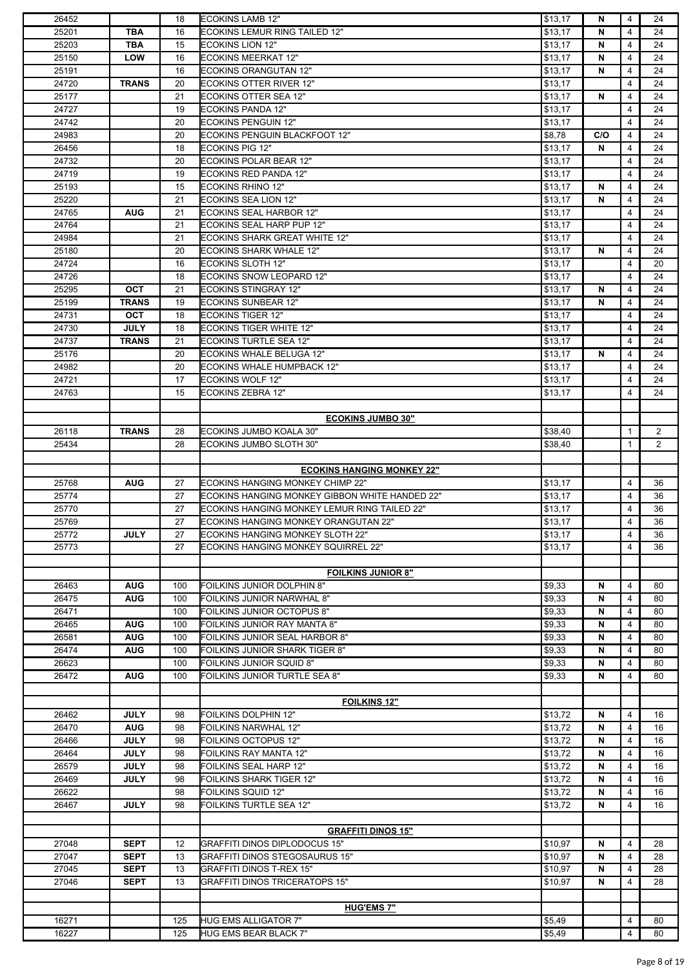| 26452 |              | 18  | <b>ECOKINS LAMB 12"</b>                        | \$13,17 | N.  | 4              | 24             |
|-------|--------------|-----|------------------------------------------------|---------|-----|----------------|----------------|
| 25201 | <b>TBA</b>   | 16  | ECOKINS LEMUR RING TAILED 12"                  | \$13,17 | N   | 4              | 24             |
| 25203 | TBA          | 15  | <b>ECOKINS LION 12"</b>                        | \$13,17 | N   | 4              | 24             |
| 25150 | LOW          | 16  | <b>ECOKINS MEERKAT 12"</b>                     | \$13,17 | N   | 4              | 24             |
| 25191 |              | 16  | <b>ECOKINS ORANGUTAN 12"</b>                   | \$13,17 | N   | 4              | 24             |
| 24720 | <b>TRANS</b> | 20  | <b>ECOKINS OTTER RIVER 12"</b>                 | \$13,17 |     | 4              | 24             |
| 25177 |              | 21  | <b>ECOKINS OTTER SEA 12"</b>                   | \$13,17 | N   | 4              | 24             |
| 24727 |              | 19  | <b>ECOKINS PANDA 12"</b>                       | \$13,17 |     | 4              | 24             |
|       |              |     |                                                |         |     |                |                |
| 24742 |              | 20  | <b>ECOKINS PENGUIN 12"</b>                     | \$13,17 |     | 4              | 24             |
| 24983 |              | 20  | ECOKINS PENGUIN BLACKFOOT 12"                  | \$8,78  | C/O | 4              | 24             |
| 26456 |              | 18  | <b>ECOKINS PIG 12"</b>                         | \$13,17 | N   | 4              | 24             |
| 24732 |              | 20  | ECOKINS POLAR BEAR 12"                         | \$13,17 |     | 4              | 24             |
| 24719 |              | 19  | ECOKINS RED PANDA 12"                          | \$13,17 |     | 4              | 24             |
| 25193 |              | 15  | <b>ECOKINS RHINO 12"</b>                       | \$13,17 | N   | 4              | 24             |
| 25220 |              | 21  | ECOKINS SEA LION 12"                           | \$13,17 | N   | $\overline{4}$ | 24             |
| 24765 | <b>AUG</b>   | 21  | <b>ECOKINS SEAL HARBOR 12"</b>                 | \$13,17 |     | 4              | 24             |
| 24764 |              | 21  | ECOKINS SEAL HARP PUP 12"                      | \$13,17 |     | 4              | 24             |
| 24984 |              | 21  | ECOKINS SHARK GREAT WHITE 12"                  | \$13,17 |     | 4              | 24             |
| 25180 |              | 20  | <b>ECOKINS SHARK WHALE 12"</b>                 | \$13,17 | N   | 4              | 24             |
| 24724 |              | 16  | <b>ECOKINS SLOTH 12"</b>                       | \$13,17 |     | 4              | 20             |
| 24726 |              | 18  | ECOKINS SNOW LEOPARD 12"                       | \$13,17 |     | 4              | 24             |
|       |              |     |                                                |         |     |                |                |
| 25295 | OCT          | 21  | <b>ECOKINS STINGRAY 12"</b>                    | \$13,17 | N   | 4              | 24             |
| 25199 | <b>TRANS</b> | 19  | <b>ECOKINS SUNBEAR 12"</b>                     | \$13,17 | N   | 4              | 24             |
| 24731 | <b>OCT</b>   | 18  | <b>ECOKINS TIGER 12"</b>                       | \$13,17 |     | 4              | 24             |
| 24730 | <b>JULY</b>  | 18  | <b>ECOKINS TIGER WHITE 12"</b>                 | \$13,17 |     | 4              | 24             |
| 24737 | <b>TRANS</b> | 21  | <b>ECOKINS TURTLE SEA 12"</b>                  | \$13,17 |     | 4              | 24             |
| 25176 |              | 20  | ECOKINS WHALE BELUGA 12"                       | \$13,17 | N   | 4              | 24             |
| 24982 |              | 20  | <b>ECOKINS WHALE HUMPBACK 12"</b>              | \$13,17 |     | 4              | 24             |
| 24721 |              | 17  | <b>ECOKINS WOLF 12"</b>                        | \$13,17 |     | 4              | 24             |
| 24763 |              | 15  | <b>ECOKINS ZEBRA 12"</b>                       | \$13,17 |     | 4              | 24             |
|       |              |     |                                                |         |     |                |                |
|       |              |     | <b>ECOKINS JUMBO 30"</b>                       |         |     |                |                |
|       |              |     |                                                |         |     |                |                |
| 26118 | <b>TRANS</b> | 28  | ECOKINS JUMBO KOALA 30"                        | \$38,40 |     | $\mathbf{1}$   | 2              |
| 25434 |              | 28  | ECOKINS JUMBO SLOTH 30"                        | \$38,40 |     | 1              | $\overline{2}$ |
|       |              |     |                                                |         |     |                |                |
|       |              |     | <b>ECOKINS HANGING MONKEY 22"</b>              |         |     |                |                |
| 25768 | <b>AUG</b>   | 27  | <b>ECOKINS HANGING MONKEY CHIMP 22"</b>        | \$13,17 |     | 4              | 36             |
| 25774 |              | 27  | ECOKINS HANGING MONKEY GIBBON WHITE HANDED 22" | \$13,17 |     | $\overline{4}$ | 36             |
| 25770 |              | 27  | ECOKINS HANGING MONKEY LEMUR RING TAILED 22"   | \$13,17 |     | 4              | 36             |
| 25769 |              | 27  | ECOKINS HANGING MONKEY ORANGUTAN 22"           | \$13.17 |     | 4              | 36             |
| 25772 | <b>JULY</b>  | 27  | ECOKINS HANGING MONKEY SLOTH 22"               | \$13,17 |     | 4              | 36             |
| 25773 |              | 27  | ECOKINS HANGING MONKEY SQUIRREL 22"            | \$13,17 |     | 4              | 36             |
|       |              |     |                                                |         |     |                |                |
|       |              |     | <b>FOILKINS JUNIOR 8"</b>                      |         |     |                |                |
|       |              |     |                                                |         |     |                |                |
| 26463 | <b>AUG</b>   | 100 | FOILKINS JUNIOR DOLPHIN 8"                     | \$9,33  | N   | $\overline{4}$ | 80             |
| 26475 | <b>AUG</b>   | 100 | FOILKINS JUNIOR NARWHAL 8"                     | \$9,33  | N   | 4              | 80             |
| 26471 |              | 100 | FOILKINS JUNIOR OCTOPUS 8"                     | \$9,33  | N   | 4              | 80             |
| 26465 | <b>AUG</b>   | 100 | FOILKINS JUNIOR RAY MANTA 8"                   | \$9,33  | N   | 4              | 80             |
| 26581 | <b>AUG</b>   | 100 | FOILKINS JUNIOR SEAL HARBOR 8"                 | \$9,33  | N   | 4              | 80             |
| 26474 | <b>AUG</b>   | 100 | FOILKINS JUNIOR SHARK TIGER 8"                 | \$9,33  | N   | 4              | 80             |
| 26623 |              | 100 | FOILKINS JUNIOR SQUID 8"                       | \$9,33  | N   | 4              | 80             |
| 26472 | <b>AUG</b>   | 100 | FOILKINS JUNIOR TURTLE SEA 8"                  | \$9,33  | N   | 4              | 80             |
|       |              |     |                                                |         |     |                |                |
|       |              |     | <b>FOILKINS 12"</b>                            |         |     |                |                |
| 26462 | <b>JULY</b>  | 98  | FOILKINS DOLPHIN 12"                           | \$13,72 | N   | 4              | 16             |
| 26470 | <b>AUG</b>   | 98  | FOILKINS NARWHAL 12"                           | \$13,72 | N   | 4              | 16             |
|       |              |     |                                                |         |     | 4              |                |
| 26466 | <b>JULY</b>  | 98  | FOILKINS OCTOPUS 12"                           | \$13,72 | N   |                | 16             |
| 26464 | <b>JULY</b>  | 98  | FOILKINS RAY MANTA 12"                         | \$13,72 | N   | 4              | 16             |
| 26579 | <b>JULY</b>  | 98  | FOILKINS SEAL HARP 12"                         | \$13,72 | N   | 4              | 16             |
| 26469 | <b>JULY</b>  | 98  | FOILKINS SHARK TIGER 12"                       | \$13,72 | N   | 4              | 16             |
| 26622 |              | 98  | FOILKINS SQUID 12"                             | \$13,72 | N   | 4              | 16             |
| 26467 | <b>JULY</b>  | 98  | FOILKINS TURTLE SEA 12"                        | \$13,72 | N   | 4              | 16             |
|       |              |     |                                                |         |     |                |                |
|       |              |     | <b>GRAFFITI DINOS 15"</b>                      |         |     |                |                |
| 27048 | <b>SEPT</b>  | 12  | <b>GRAFFITI DINOS DIPLODOCUS 15"</b>           | \$10,97 | N   | 4              | 28             |
| 27047 | <b>SEPT</b>  | 13  | <b>GRAFFITI DINOS STEGOSAURUS 15"</b>          | \$10,97 | N   | 4              | 28             |
| 27045 | <b>SEPT</b>  | 13  | <b>GRAFFITI DINOS T-REX 15"</b>                | \$10,97 | N   | 4              | 28             |
| 27046 | <b>SEPT</b>  | 13  | <b>GRAFFITI DINOS TRICERATOPS 15"</b>          |         | N   | 4              | 28             |
|       |              |     |                                                | \$10,97 |     |                |                |
|       |              |     |                                                |         |     |                |                |
|       |              |     | <b>HUG'EMS 7"</b>                              |         |     |                |                |
| 16271 |              | 125 | <b>HUG EMS ALLIGATOR 7"</b>                    | \$5,49  |     | 4              | 80             |
| 16227 |              | 125 | HUG EMS BEAR BLACK 7"                          | \$5,49  |     | 4              | 80             |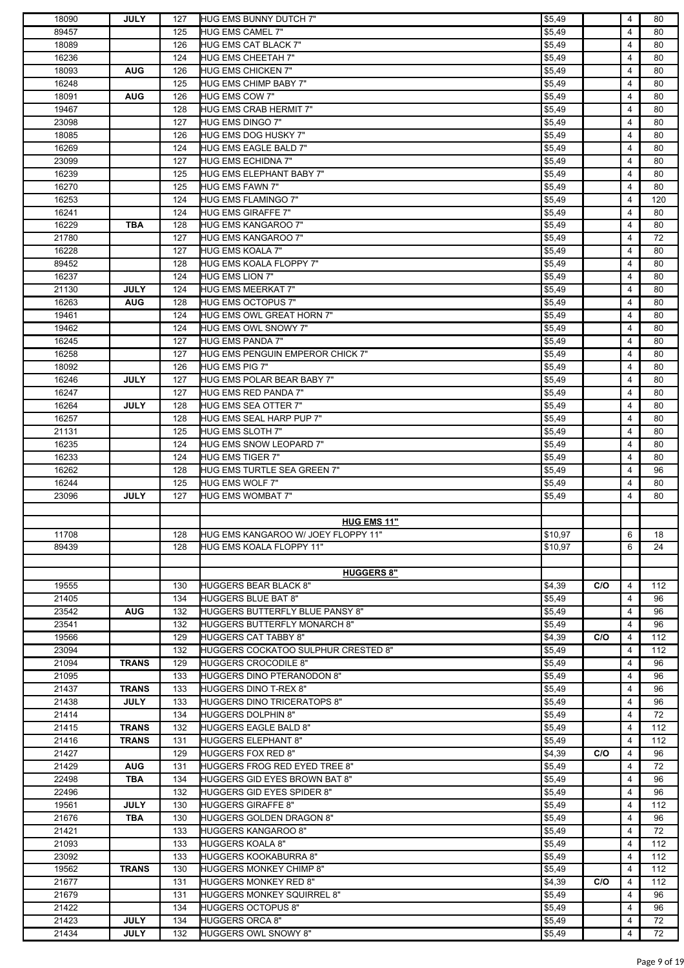| 18090          | <b>JULY</b>                | 127        | HUG EMS BUNNY DUTCH 7"                                | \$5,49           |     | 4      | 80       |
|----------------|----------------------------|------------|-------------------------------------------------------|------------------|-----|--------|----------|
| 89457          |                            | 125        | <b>HUG EMS CAMEL 7"</b>                               | \$5,49           |     | 4      | 80       |
| 18089          |                            | 126        | <b>HUG EMS CAT BLACK 7"</b>                           | \$5,49           |     | 4      | 80       |
| 16236          |                            | 124        | <b>HUG EMS CHEETAH 7"</b>                             | \$5,49           |     | 4      | 80       |
| 18093          | <b>AUG</b>                 | 126        | HUG EMS CHICKEN 7"                                    | \$5,49           |     | 4      | 80       |
| 16248          |                            | 125        | <b>HUG EMS CHIMP BABY 7"</b>                          | \$5,49           |     | 4      | 80       |
| 18091          | <b>AUG</b>                 | 126        | HUG EMS COW 7"                                        | \$5,49           |     | 4      | 80       |
| 19467          |                            | 128        | <b>HUG EMS CRAB HERMIT 7"</b>                         | \$5,49           |     | 4      | 80       |
| 23098          |                            | 127        | HUG EMS DINGO 7"                                      | \$5,49           |     | 4      | 80       |
| 18085          |                            | 126        | <b>HUG EMS DOG HUSKY 7"</b>                           | \$5,49           |     | 4      | 80       |
| 16269          |                            | 124        | HUG EMS EAGLE BALD 7"                                 | \$5,49           |     | 4      | 80       |
| 23099          |                            | 127        | HUG EMS ECHIDNA 7"                                    | \$5,49           |     | 4      | 80       |
| 16239          |                            | 125        | HUG EMS ELEPHANT BABY 7"                              | \$5,49           |     | 4      | 80       |
| 16270          |                            | 125        | <b>HUG EMS FAWN 7"</b>                                | \$5,49           |     | 4      | 80       |
| 16253          |                            | 124        | <b>HUG EMS FLAMINGO 7"</b>                            | \$5,49           |     | 4      | 120      |
| 16241          |                            | 124        | <b>HUG EMS GIRAFFE 7"</b>                             | \$5,49           |     | 4      | 80       |
| 16229          | <b>TBA</b>                 | 128        | <b>HUG EMS KANGAROO 7"</b>                            | \$5,49           |     | 4      | 80       |
| 21780          |                            | 127        | <b>HUG EMS KANGAROO 7"</b>                            | \$5,49           |     | 4      | 72       |
|                |                            |            | <b>HUG EMS KOALA 7"</b>                               |                  |     |        |          |
| 16228          |                            | 127        |                                                       | \$5,49           |     | 4      | 80       |
| 89452          |                            | 128        | <b>HUG EMS KOALA FLOPPY 7"</b>                        | \$5,49           |     | 4      | 80       |
| 16237          |                            | 124        | <b>HUG EMS LION 7"</b>                                | \$5,49           |     | 4      | 80       |
| 21130          | <b>JULY</b>                | 124        | <b>HUG EMS MEERKAT 7"</b>                             | \$5,49           |     | 4      | 80       |
| 16263          | <b>AUG</b>                 | 128        | <b>HUG EMS OCTOPUS 7"</b>                             | \$5,49           |     | 4      | 80       |
| 19461          |                            | 124        | HUG EMS OWL GREAT HORN 7"                             | \$5,49           |     | 4      | 80       |
| 19462          |                            | 124        | HUG EMS OWL SNOWY 7"                                  | \$5,49           |     | 4      | 80       |
| 16245          |                            | 127        | <b>HUG EMS PANDA 7"</b>                               | \$5,49           |     | 4      | 80       |
| 16258          |                            | 127        | HUG EMS PENGUIN EMPEROR CHICK 7"                      | \$5,49           |     | 4      | 80       |
| 18092          |                            | 126        | <b>HUG EMS PIG 7"</b>                                 | \$5,49           |     | 4      | 80       |
| 16246          | <b>JULY</b>                | 127        | HUG EMS POLAR BEAR BABY 7"                            | \$5,49           |     | 4      | 80       |
| 16247          |                            | 127        | <b>HUG EMS RED PANDA 7"</b>                           | \$5,49           |     | 4      | 80       |
| 16264          | <b>JULY</b>                | 128        | HUG EMS SEA OTTER 7"                                  | \$5,49           |     | 4      | 80       |
| 16257          |                            | 128        | HUG EMS SEAL HARP PUP 7"                              | \$5,49           |     | 4      | 80       |
| 21131          |                            | 125        | HUG EMS SLOTH 7"                                      | \$5,49           |     | 4      | 80       |
| 16235          |                            | 124        | HUG EMS SNOW LEOPARD 7"                               | \$5,49           |     | 4      | 80       |
| 16233          |                            | 124        | <b>HUG EMS TIGER 7"</b>                               | \$5,49           |     | 4      | 80       |
| 16262          |                            | 128        | HUG EMS TURTLE SEA GREEN 7"                           | \$5,49           |     | 4      | 96       |
| 16244          |                            | 125        | HUG EMS WOLF 7"                                       | \$5,49           |     | 4      | 80       |
| 23096          | <b>JULY</b>                | 127        | <b>HUG EMS WOMBAT 7"</b>                              | \$5,49           |     | 4      | 80       |
|                |                            |            |                                                       |                  |     |        |          |
|                |                            |            | <b>HUG EMS 11"</b>                                    |                  |     |        |          |
| 11708          |                            | 128        | HUG EMS KANGAROO W/ JOEY FLOPPY 11"                   | \$10,97          |     | 6      | 18       |
|                |                            |            | <b>HUG EMS KOALA FLOPPY 11"</b>                       |                  |     | 6      | 24       |
| 89439          |                            | 128        |                                                       | \$10,97          |     |        |          |
|                |                            |            |                                                       |                  |     |        |          |
|                |                            |            | <b>HUGGERS 8"</b>                                     |                  |     |        |          |
| 19555          |                            | 130        | <b>HUGGERS BEAR BLACK 8"</b>                          | \$4,39           | C/O | 4      | 112      |
| 21405          |                            | 134        | <b>HUGGERS BLUE BAT 8"</b>                            | \$5,49           |     | 4      | 96       |
| 23542          | <b>AUG</b>                 | 132        | <b>HUGGERS BUTTERFLY BLUE PANSY 8"</b>                | \$5,49           |     | 4      | 96       |
|                |                            | 132        | <b>HUGGERS BUTTERFLY MONARCH 8"</b>                   |                  |     | 4      | 96       |
| 23541<br>19566 |                            | 129        | <b>HUGGERS CAT TABBY 8"</b>                           | \$5,49           | C/O | 4      | 112      |
| 23094          |                            | 132        | <b>HUGGERS COCKATOO SULPHUR CRESTED 8"</b>            | \$4,39           |     | 4      | 112      |
| 21094          | <b>TRANS</b>               | 129        | <b>HUGGERS CROCODILE 8"</b>                           | \$5,49<br>\$5,49 |     | 4      | 96       |
|                |                            |            |                                                       |                  |     | 4      | 96       |
| 21095          |                            | 133        | <b>HUGGERS DINO PTERANODON 8"</b>                     | \$5,49           |     | 4      |          |
| 21437          | <b>TRANS</b>               | 133        | <b>HUGGERS DINO T-REX 8"</b>                          | \$5,49           |     |        | 96       |
| 21438          | <b>JULY</b>                | 133        | <b>HUGGERS DINO TRICERATOPS 8"</b>                    | \$5,49           |     | 4      | 96       |
| 21414          |                            | 134        | <b>HUGGERS DOLPHIN 8"</b>                             | \$5,49           |     | 4      | 72       |
| 21415          | <b>TRANS</b>               | 132        | <b>HUGGERS EAGLE BALD 8"</b>                          | \$5,49           |     | 4      | 112      |
| 21416          | <b>TRANS</b>               | 131        | <b>HUGGERS ELEPHANT 8"</b>                            | \$5,49           |     | 4      | 112      |
| 21427          |                            | 129        | <b>HUGGERS FOX RED 8"</b>                             | \$4,39           | C/O | 4      | 96       |
| 21429          | <b>AUG</b>                 | 131        | HUGGERS FROG RED EYED TREE 8"                         | \$5,49           |     | 4      | 72       |
| 22498          | TBA                        | 134        | <b>HUGGERS GID EYES BROWN BAT 8"</b>                  | \$5,49           |     | 4      | 96       |
| 22496          |                            | 132        | <b>HUGGERS GID EYES SPIDER 8"</b>                     | \$5,49           |     | 4      | 96       |
| 19561          | <b>JULY</b>                | 130        | <b>HUGGERS GIRAFFE 8"</b>                             | \$5,49           |     | 4      | 112      |
| 21676          | <b>TBA</b>                 | 130        | <b>HUGGERS GOLDEN DRAGON 8"</b>                       | \$5,49           |     | 4      | 96       |
| 21421          |                            | 133        | <b>HUGGERS KANGAROO 8"</b>                            | \$5,49           |     | 4      | 72       |
| 21093          |                            | 133        | <b>HUGGERS KOALA 8"</b>                               | \$5,49           |     | 4      | 112      |
| 23092          |                            | 133        | <b>HUGGERS KOOKABURRA 8"</b>                          | \$5,49           |     | 4      | 112      |
| 19562          | <b>TRANS</b>               | 130        | <b>HUGGERS MONKEY CHIMP 8"</b>                        | \$5,49           |     | 4      | 112      |
| 21677          |                            | 131        | <b>HUGGERS MONKEY RED 8"</b>                          | \$4,39           | C/O | 4      | 112      |
| 21679          |                            | 131        | <b>HUGGERS MONKEY SQUIRREL 8"</b>                     | \$5,49           |     | 4      | 96       |
| 21422          |                            | 134        | <b>HUGGERS OCTOPUS 8"</b>                             | \$5,49           |     | 4      | 96       |
| 21423<br>21434 | <b>JULY</b><br><b>JULY</b> | 134<br>132 | <b>HUGGERS ORCA 8"</b><br><b>HUGGERS OWL SNOWY 8"</b> | \$5,49<br>\$5,49 |     | 4<br>4 | 72<br>72 |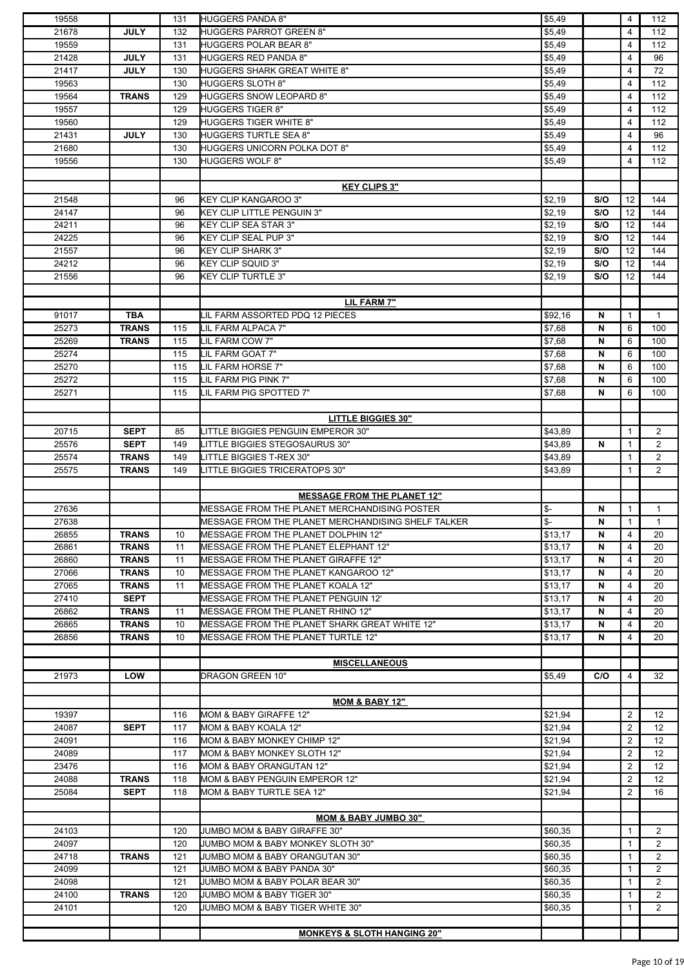| 19558 |              | 131 | <b>HUGGERS PANDA 8"</b>                            | \$5,49                   |     | 4              | 112               |
|-------|--------------|-----|----------------------------------------------------|--------------------------|-----|----------------|-------------------|
| 21678 | <b>JULY</b>  | 132 | HUGGERS PARROT GREEN 8"                            | \$5,49                   |     | 4              | 112               |
| 19559 |              | 131 | <b>HUGGERS POLAR BEAR 8"</b>                       | \$5,49                   |     | 4              | 112               |
| 21428 | <b>JULY</b>  | 131 | <b>HUGGERS RED PANDA 8"</b>                        | \$5,49                   |     | 4              | 96                |
| 21417 | <b>JULY</b>  | 130 | <b>HUGGERS SHARK GREAT WHITE 8"</b>                | \$5,49                   |     | 4              | 72                |
| 19563 |              | 130 | <b>HUGGERS SLOTH 8"</b>                            |                          |     | 4              | 112               |
|       |              |     |                                                    | \$5,49                   |     | $\overline{4}$ |                   |
| 19564 | <b>TRANS</b> | 129 | <b>HUGGERS SNOW LEOPARD 8"</b>                     | \$5,49                   |     |                | 112               |
| 19557 |              | 129 | <b>HUGGERS TIGER 8"</b>                            | \$5,49                   |     | 4              | 112               |
| 19560 |              | 129 | <b>HUGGERS TIGER WHITE 8"</b>                      | \$5,49                   |     | 4              | 112               |
| 21431 | <b>JULY</b>  | 130 | <b>HUGGERS TURTLE SEA 8"</b>                       | \$5,49                   |     | 4              | 96                |
| 21680 |              | 130 | HUGGERS UNICORN POLKA DOT 8"                       | \$5,49                   |     | 4              | 112               |
| 19556 |              | 130 | <b>HUGGERS WOLF 8"</b>                             | \$5,49                   |     | 4              | 112               |
|       |              |     |                                                    |                          |     |                |                   |
|       |              |     | <b>KEY CLIPS 3"</b>                                |                          |     |                |                   |
| 21548 |              | 96  | <b>KEY CLIP KANGAROO 3"</b>                        | \$2,19                   | S/O | 12             | 144               |
| 24147 |              | 96  | KEY CLIP LITTLE PENGUIN 3"                         | \$2,19                   | S/O | 12             | 144               |
| 24211 |              | 96  | <b>KEY CLIP SEA STAR 3"</b>                        | \$2,19                   | S/O | 12             | 144               |
|       |              |     |                                                    |                          |     |                |                   |
| 24225 |              | 96  | <b>KEY CLIP SEAL PUP 3"</b>                        | \$2,19                   | S/O | 12             | 144               |
| 21557 |              | 96  | <b>KEY CLIP SHARK 3"</b>                           | \$2,19                   | S/O | 12             | 144               |
| 24212 |              | 96  | <b>KEY CLIP SQUID 3"</b>                           | \$2,19                   | S/O | 12             | 144               |
| 21556 |              | 96  | <b>KEY CLIP TURTLE 3"</b>                          | \$2,19                   | S/O | 12             | 144               |
|       |              |     |                                                    |                          |     |                |                   |
|       |              |     | LIL FARM 7"                                        |                          |     |                |                   |
| 91017 | <b>TBA</b>   |     | LIL FARM ASSORTED PDQ 12 PIECES                    | \$92,16                  | N   | $\mathbf{1}$   | $\mathbf{1}$      |
| 25273 | <b>TRANS</b> | 115 | LIL FARM ALPACA 7"                                 | \$7,68                   | N   | 6              | 100               |
| 25269 | <b>TRANS</b> | 115 | LIL FARM COW 7"                                    | \$7,68                   | N   | 6              | 100               |
| 25274 |              | 115 | LIL FARM GOAT 7"                                   | \$7,68                   | N   | 6              | 100               |
|       |              |     |                                                    |                          |     |                |                   |
| 25270 |              | 115 | LIL FARM HORSE 7"                                  | \$7,68                   | N   | 6              | 100               |
| 25272 |              | 115 | LIL FARM PIG PINK 7"                               | \$7,68                   | N   | 6              | 100               |
| 25271 |              | 115 | LIL FARM PIG SPOTTED 7"                            | \$7,68                   | N   | 6              | 100               |
|       |              |     |                                                    |                          |     |                |                   |
|       |              |     | <b>LITTLE BIGGIES 30"</b>                          |                          |     |                |                   |
| 20715 | <b>SEPT</b>  | 85  | LITTLE BIGGIES PENGUIN EMPEROR 30"                 | \$43,89                  |     | $\mathbf{1}$   | $\overline{2}$    |
| 25576 | <b>SEPT</b>  | 149 | LITTLE BIGGIES STEGOSAURUS 30"                     | \$43,89                  | N   | 1              | $\overline{2}$    |
| 25574 | <b>TRANS</b> | 149 | LITTLE BIGGIES T-REX 30"                           | \$43,89                  |     | 1              | $\overline{2}$    |
| 25575 | <b>TRANS</b> | 149 | <b>LITTLE BIGGIES TRICERATOPS 30"</b>              | \$43,89                  |     | 1              | $\overline{2}$    |
|       |              |     |                                                    |                          |     |                |                   |
|       |              |     |                                                    |                          |     |                |                   |
|       |              |     | <b>MESSAGE FROM THE PLANET 12"</b>                 |                          |     |                |                   |
| 27636 |              |     | MESSAGE FROM THE PLANET MERCHANDISING POSTER       | \$-                      | N   | 1              | 1                 |
| 27638 |              |     | MESSAGE FROM THE PLANET MERCHANDISING SHELF TALKER | $\overline{\mathcal{L}}$ | N   | $\mathbf{1}$   | $\mathbf{1}$      |
| 26855 | <b>TRANS</b> | 10  | MESSAGE FROM THE PLANET DOLPHIN 12"                | \$13,17                  | N   | 4              | 20                |
|       |              |     | MESSAGE FROM THE PLANET ELEPHANT 12"               |                          |     | 4              | 20                |
| 26861 | <b>TRANS</b> | 11  |                                                    | \$13,17                  | N   |                |                   |
| 26860 | <b>TRANS</b> | 11  | <b>MESSAGE FROM THE PLANET GIRAFFE 12"</b>         | \$13,17                  | N   | 4              | 20                |
|       |              |     |                                                    |                          |     |                |                   |
| 27066 | <b>TRANS</b> | 10  | MESSAGE FROM THE PLANET KANGAROO 12"               | \$13,17                  | N   | 4              | 20                |
| 27065 | <b>TRANS</b> | 11  | MESSAGE FROM THE PLANET KOALA 12"                  | \$13,17                  | N   | 4              | 20                |
| 27410 | <b>SEPT</b>  |     | MESSAGE FROM THE PLANET PENGUIN 12'                | \$13,17                  | N   | 4              | 20                |
| 26862 | <b>TRANS</b> | 11  | <b>MESSAGE FROM THE PLANET RHINO 12"</b>           | \$13,17                  | N   | 4              | 20                |
| 26865 | <b>TRANS</b> | 10  | MESSAGE FROM THE PLANET SHARK GREAT WHITE 12"      | \$13.17                  | N   | 4              | 20                |
| 26856 | <b>TRANS</b> | 10  | <b>MESSAGE FROM THE PLANET TURTLE 12"</b>          | \$13,17                  | N   | 4              | 20                |
|       |              |     |                                                    |                          |     |                |                   |
|       |              |     | <b>MISCELLANEOUS</b>                               |                          |     |                |                   |
| 21973 | LOW          |     | DRAGON GREEN 10"                                   | \$5,49                   | C/O | 4              | 32                |
|       |              |     |                                                    |                          |     |                |                   |
|       |              |     | <b>MOM &amp; BABY 12"</b>                          |                          |     |                |                   |
| 19397 |              | 116 | MOM & BABY GIRAFFE 12"                             | \$21,94                  |     | $\overline{2}$ | 12                |
| 24087 | <b>SEPT</b>  | 117 | MOM & BABY KOALA 12"                               | \$21,94                  |     | 2              | $12 \overline{ }$ |
| 24091 |              | 116 | MOM & BABY MONKEY CHIMP 12"                        | \$21,94                  |     | 2              | 12 <sup>°</sup>   |
| 24089 |              | 117 | MOM & BABY MONKEY SLOTH 12"                        |                          |     | 2              | 12                |
|       |              |     |                                                    | \$21,94                  |     |                |                   |
| 23476 |              | 116 | MOM & BABY ORANGUTAN 12"                           | \$21,94                  |     | 2              | 12                |
| 24088 | <b>TRANS</b> | 118 | MOM & BABY PENGUIN EMPEROR 12"                     | \$21,94                  |     | $\overline{2}$ | 12 <sup>°</sup>   |
| 25084 | <b>SEPT</b>  | 118 | MOM & BABY TURTLE SEA 12"                          | \$21,94                  |     | $\overline{2}$ | 16                |
|       |              |     |                                                    |                          |     |                |                   |
|       |              |     | <b>MOM &amp; BABY JUMBO 30"</b>                    |                          |     |                |                   |
| 24103 |              | 120 | JUMBO MOM & BABY GIRAFFE 30"                       | \$60,35                  |     | 1              | $\overline{2}$    |
| 24097 |              | 120 | JUMBO MOM & BABY MONKEY SLOTH 30"                  | \$60,35                  |     | 1              | $\overline{2}$    |
| 24718 | <b>TRANS</b> | 121 | JUMBO MOM & BABY ORANGUTAN 30"                     | \$60,35                  |     | $\mathbf{1}$   | $\overline{2}$    |
| 24099 |              | 121 | JUMBO MOM & BABY PANDA 30"                         | \$60,35                  |     | 1              | $\overline{2}$    |
| 24098 |              | 121 | JUMBO MOM & BABY POLAR BEAR 30"                    | \$60,35                  |     | 1              | $\overline{2}$    |
|       |              |     |                                                    |                          |     | 1              |                   |
| 24100 | <b>TRANS</b> | 120 | JUMBO MOM & BABY TIGER 30"                         | \$60,35                  |     |                | $\overline{2}$    |
| 24101 |              | 120 | JUMBO MOM & BABY TIGER WHITE 30"                   | \$60,35                  |     | 1              | $\overline{2}$    |
|       |              |     | <b>MONKEYS &amp; SLOTH HANGING 20"</b>             |                          |     |                |                   |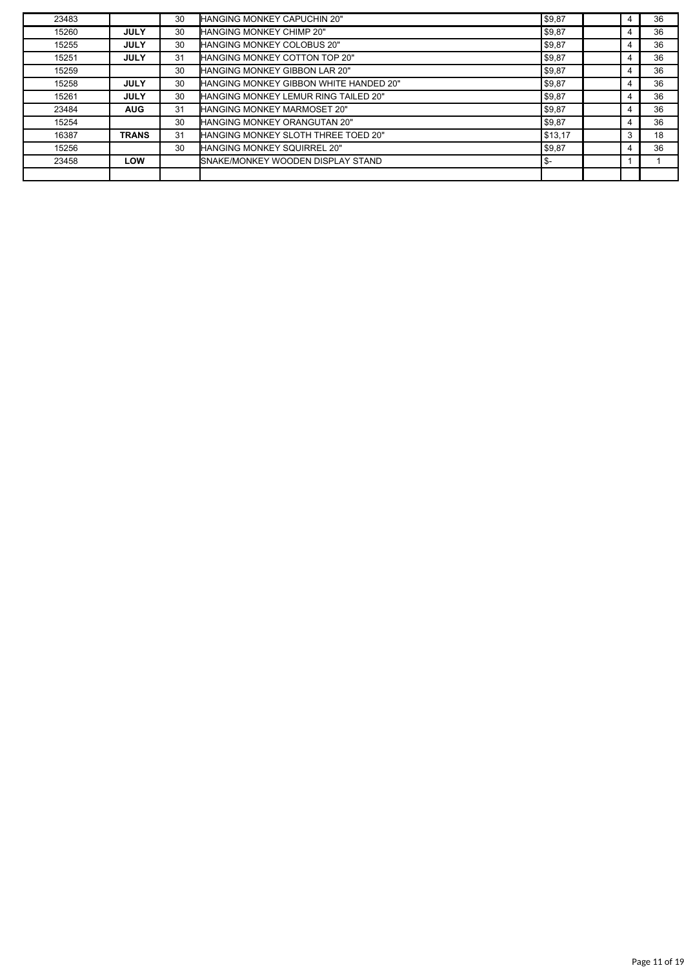| 23483 |              | 30 | HANGING MONKEY CAPUCHIN 20"            | \$9,87  | 4 | 36 |
|-------|--------------|----|----------------------------------------|---------|---|----|
| 15260 | <b>JULY</b>  | 30 | <b>HANGING MONKEY CHIMP 20"</b>        | \$9,87  |   | 36 |
| 15255 | <b>JULY</b>  | 30 | <b>HANGING MONKEY COLOBUS 20"</b>      | \$9,87  | 4 | 36 |
| 15251 | <b>JULY</b>  | 31 | <b>HANGING MONKEY COTTON TOP 20"</b>   | \$9,87  |   | 36 |
| 15259 |              | 30 | HANGING MONKEY GIBBON LAR 20"          | \$9,87  | 4 | 36 |
| 15258 | <b>JULY</b>  | 30 | HANGING MONKEY GIBBON WHITE HANDED 20" | \$9,87  | 4 | 36 |
| 15261 | <b>JULY</b>  | 30 | HANGING MONKEY LEMUR RING TAILED 20"   | \$9,87  | 4 | 36 |
| 23484 | <b>AUG</b>   | 31 | HANGING MONKEY MARMOSET 20"            | \$9,87  | 4 | 36 |
| 15254 |              | 30 | <b>HANGING MONKEY ORANGUTAN 20"</b>    | \$9,87  |   | 36 |
| 16387 | <b>TRANS</b> | 31 | HANGING MONKEY SLOTH THREE TOED 20"    | \$13,17 | 3 | 18 |
| 15256 |              | 30 | HANGING MONKEY SQUIRREL 20"            | \$9,87  |   | 36 |
| 23458 | LOW          |    | SNAKE/MONKEY WOODEN DISPLAY STAND      | ∣\$-    |   |    |
|       |              |    |                                        |         |   |    |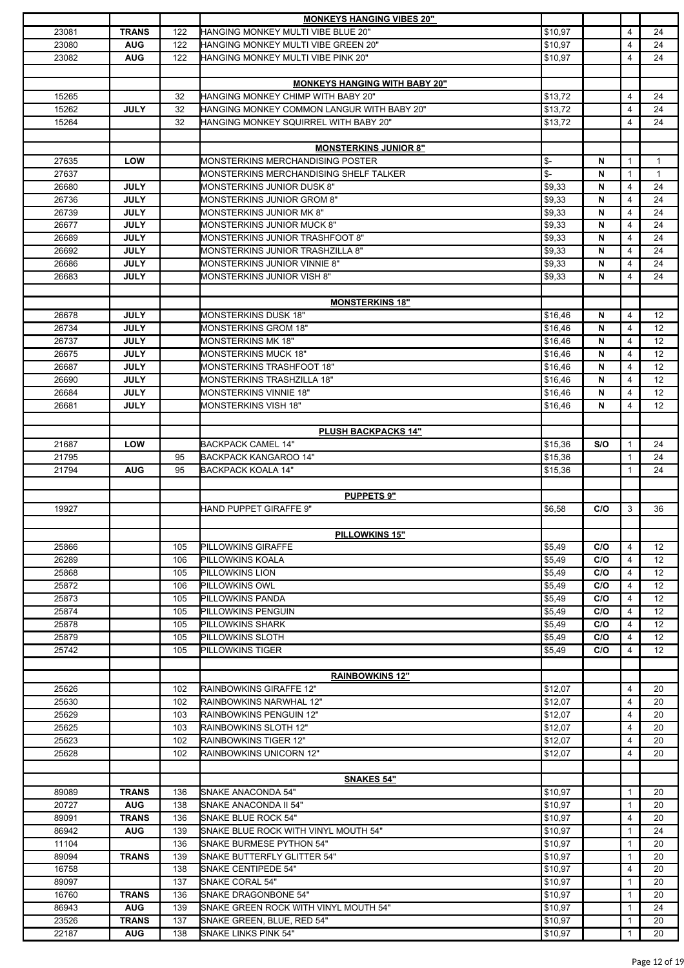|                |                            |            | <b>MONKEYS HANGING VIBES 20"</b>                          |                          |     |                              |                   |
|----------------|----------------------------|------------|-----------------------------------------------------------|--------------------------|-----|------------------------------|-------------------|
| 23081          | <b>TRANS</b>               | 122        | HANGING MONKEY MULTI VIBE BLUE 20"                        | \$10,97                  |     | 4                            | 24                |
| 23080          | <b>AUG</b>                 | 122        | HANGING MONKEY MULTI VIBE GREEN 20"                       | \$10.97                  |     | 4                            | 24                |
| 23082          | <b>AUG</b>                 | 122        | HANGING MONKEY MULTI VIBE PINK 20"                        | \$10,97                  |     | 4                            | 24                |
|                |                            |            |                                                           |                          |     |                              |                   |
|                |                            |            | <b>MONKEYS HANGING WITH BABY 20"</b>                      |                          |     |                              |                   |
| 15265          |                            | 32         | HANGING MONKEY CHIMP WITH BABY 20"                        | \$13,72                  |     | 4                            | 24                |
|                |                            |            |                                                           |                          |     |                              |                   |
| 15262          | <b>JULY</b>                | 32         | HANGING MONKEY COMMON LANGUR WITH BABY 20"                | \$13,72                  |     | 4                            | 24                |
| 15264          |                            | 32         | HANGING MONKEY SQUIRREL WITH BABY 20"                     | \$13,72                  |     | 4                            | 24                |
|                |                            |            |                                                           |                          |     |                              |                   |
|                |                            |            | <b>MONSTERKINS JUNIOR 8"</b>                              |                          |     |                              |                   |
| 27635          | <b>LOW</b>                 |            | MONSTERKINS MERCHANDISING POSTER                          | \$-                      | N   | $\mathbf{1}$                 | $\mathbf{1}$      |
| 27637          |                            |            | MONSTERKINS MERCHANDISING SHELF TALKER                    | $\overline{\mathcal{L}}$ | N   | $\mathbf{1}$                 | $\mathbf{1}$      |
| 26680          | <b>JULY</b>                |            | MONSTERKINS JUNIOR DUSK 8"                                | \$9,33                   | N   | $\overline{4}$               | 24                |
| 26736          | <b>JULY</b>                |            | <b>MONSTERKINS JUNIOR GROM 8"</b>                         | \$9,33                   | N   | 4                            | 24                |
| 26739          | <b>JULY</b>                |            | MONSTERKINS JUNIOR MK 8"                                  | \$9,33                   | N   | 4                            | 24                |
|                | <b>JULY</b>                |            |                                                           |                          | N   |                              |                   |
| 26677          |                            |            | <b>MONSTERKINS JUNIOR MUCK 8"</b>                         | \$9,33                   |     | 4                            | 24                |
| 26689          | <b>JULY</b>                |            | MONSTERKINS JUNIOR TRASHFOOT 8"                           | \$9,33                   | N   | 4                            | 24                |
| 26692          | <b>JULY</b>                |            | MONSTERKINS JUNIOR TRASHZILLA 8"                          | \$9,33                   | N   | 4                            | 24                |
| 26686          | <b>JULY</b>                |            | <b>MONSTERKINS JUNIOR VINNIE 8"</b>                       | \$9,33                   | N   | 4                            | 24                |
| 26683          | <b>JULY</b>                |            | MONSTERKINS JUNIOR VISH 8"                                | \$9,33                   | N   | 4                            | 24                |
|                |                            |            |                                                           |                          |     |                              |                   |
|                |                            |            | <b>MONSTERKINS 18"</b>                                    |                          |     |                              |                   |
| 26678          | <b>JULY</b>                |            | MONSTERKINS DUSK 18"                                      | \$16,46                  | N   | 4                            | $12 \overline{ }$ |
| 26734          | <b>JULY</b>                |            | <b>MONSTERKINS GROM 18"</b>                               | \$16,46                  | N   | 4                            | 12                |
|                |                            |            |                                                           |                          |     |                              |                   |
| 26737          | <b>JULY</b>                |            | <b>MONSTERKINS MK 18"</b>                                 | \$16,46                  | N   | 4                            | 12                |
| 26675          | <b>JULY</b>                |            | <b>MONSTERKINS MUCK 18"</b>                               | \$16,46                  | N   | 4                            | 12                |
| 26687          | <b>JULY</b>                |            | MONSTERKINS TRASHFOOT 18"                                 | \$16,46                  | N   | 4                            | 12                |
| 26690          | <b>JULY</b>                |            | MONSTERKINS TRASHZILLA 18"                                | \$16,46                  | N   | 4                            | 12                |
| 26684          | <b>JULY</b>                |            | <b>MONSTERKINS VINNIE 18"</b>                             | \$16,46                  | N   | 4                            | 12                |
| 26681          | <b>JULY</b>                |            | <b>MONSTERKINS VISH 18"</b>                               | \$16,46                  | N   | 4                            | 12                |
|                |                            |            |                                                           |                          |     |                              |                   |
|                |                            |            | <b>PLUSH BACKPACKS 14"</b>                                |                          |     |                              |                   |
| 21687          | <b>LOW</b>                 |            | <b>BACKPACK CAMEL 14"</b>                                 | \$15,36                  | S/O | $\mathbf{1}$                 | 24                |
|                |                            |            |                                                           |                          |     |                              |                   |
| 21795          |                            | 95         | BACKPACK KANGAROO 14"                                     | \$15,36                  |     | $\mathbf{1}$                 | 24                |
| 21794          | <b>AUG</b>                 | 95         | <b>BACKPACK KOALA 14"</b>                                 | \$15,36                  |     | 1                            | 24                |
|                |                            |            |                                                           |                          |     |                              |                   |
|                |                            |            | <b>PUPPETS 9"</b>                                         |                          |     |                              |                   |
| 19927          |                            |            | HAND PUPPET GIRAFFE 9"                                    | \$6,58                   | C/O | 3                            | 36                |
|                |                            |            |                                                           |                          |     |                              |                   |
|                |                            |            | <b>PILLOWKINS 15"</b>                                     |                          |     |                              |                   |
| 25866          |                            | 105        | PILLOWKINS GIRAFFE                                        | \$5,49                   | C/O | 4                            | 12                |
| 26289          |                            | 106        | PILLOWKINS KOALA                                          |                          |     |                              |                   |
|                |                            |            |                                                           |                          |     |                              |                   |
| 25868          |                            |            |                                                           | \$5,49                   | C/O | 4                            | $12 \overline{ }$ |
| 25872          |                            | 105        | PILLOWKINS LION                                           | \$5,49                   | C/O | 4                            | 12                |
|                |                            | 106        | PILLOWKINS OWL                                            | \$5,49                   | C/O | 4                            | 12 <sup>°</sup>   |
| 25873          |                            | 105        | PILLOWKINS PANDA                                          | \$5,49                   | C/O | 4                            | 12                |
| 25874          |                            | 105        | PILLOWKINS PENGUIN                                        | \$5,49                   | C/O | 4                            | 12                |
| 25878          |                            | 105        | PILLOWKINS SHARK                                          | \$5,49                   | C/O | 4                            | 12                |
| 25879          |                            | 105        | PILLOWKINS SLOTH                                          | \$5,49                   | C/O | 4                            | $12 \overline{ }$ |
| 25742          |                            | 105        | PILLOWKINS TIGER                                          | \$5,49                   | C/O | 4                            | 12                |
|                |                            |            |                                                           |                          |     |                              |                   |
|                |                            |            |                                                           |                          |     |                              |                   |
|                |                            |            | <b>RAINBOWKINS 12"</b>                                    |                          |     |                              |                   |
| 25626          |                            | 102        | RAINBOWKINS GIRAFFE 12"                                   | \$12,07                  |     | 4                            | 20                |
| 25630          |                            | 102        | RAINBOWKINS NARWHAL 12"                                   | \$12,07                  |     | 4                            | 20                |
| 25629          |                            | 103        | RAINBOWKINS PENGUIN 12"                                   | \$12,07                  |     | 4                            | 20                |
| 25625          |                            | 103        | RAINBOWKINS SLOTH 12"                                     | \$12,07                  |     | 4                            | 20                |
| 25623          |                            | 102        | RAINBOWKINS TIGER 12"                                     | \$12,07                  |     | 4                            | 20                |
| 25628          |                            | 102        | RAINBOWKINS UNICORN 12"                                   | \$12,07                  |     | 4                            | 20                |
|                |                            |            |                                                           |                          |     |                              |                   |
|                |                            |            |                                                           |                          |     |                              |                   |
|                |                            |            | <b>SNAKES 54"</b>                                         |                          |     |                              |                   |
| 89089          | <b>TRANS</b>               | 136        | SNAKE ANACONDA 54"                                        | \$10,97                  |     | $\mathbf{1}$                 | 20                |
| 20727          | <b>AUG</b>                 | 138        | SNAKE ANACONDA II 54"                                     | \$10,97                  |     | $\mathbf{1}$                 | 20                |
| 89091          | <b>TRANS</b>               | 136        | SNAKE BLUE ROCK 54"                                       | \$10,97                  |     | 4                            | 20                |
| 86942          | <b>AUG</b>                 | 139        | SNAKE BLUE ROCK WITH VINYL MOUTH 54"                      | \$10,97                  |     | $\mathbf{1}$                 | 24                |
| 11104          |                            | 136        | SNAKE BURMESE PYTHON 54"                                  | \$10,97                  |     | $\mathbf{1}$                 | 20                |
| 89094          | <b>TRANS</b>               | 139        | SNAKE BUTTERFLY GLITTER 54"                               | \$10,97                  |     | $\mathbf{1}$                 | 20                |
| 16758          |                            | 138        | SNAKE CENTIPEDE 54"                                       | \$10,97                  |     | 4                            | 20                |
| 89097          |                            | 137        | SNAKE CORAL 54"                                           |                          |     | $\mathbf{1}$                 | 20                |
|                |                            |            |                                                           | \$10,97                  |     |                              |                   |
| 16760          | <b>TRANS</b>               | 136        | SNAKE DRAGONBONE 54"                                      | \$10,97                  |     | $\mathbf{1}$                 | 20                |
| 86943          | <b>AUG</b>                 | 139        | SNAKE GREEN ROCK WITH VINYL MOUTH 54"                     | \$10,97                  |     | $\mathbf{1}$                 | 24                |
| 23526<br>22187 | <b>TRANS</b><br><b>AUG</b> | 137<br>138 | SNAKE GREEN, BLUE, RED 54"<br><b>SNAKE LINKS PINK 54"</b> | \$10,97<br>\$10,97       |     | $\mathbf{1}$<br>$\mathbf{1}$ | 20<br>20          |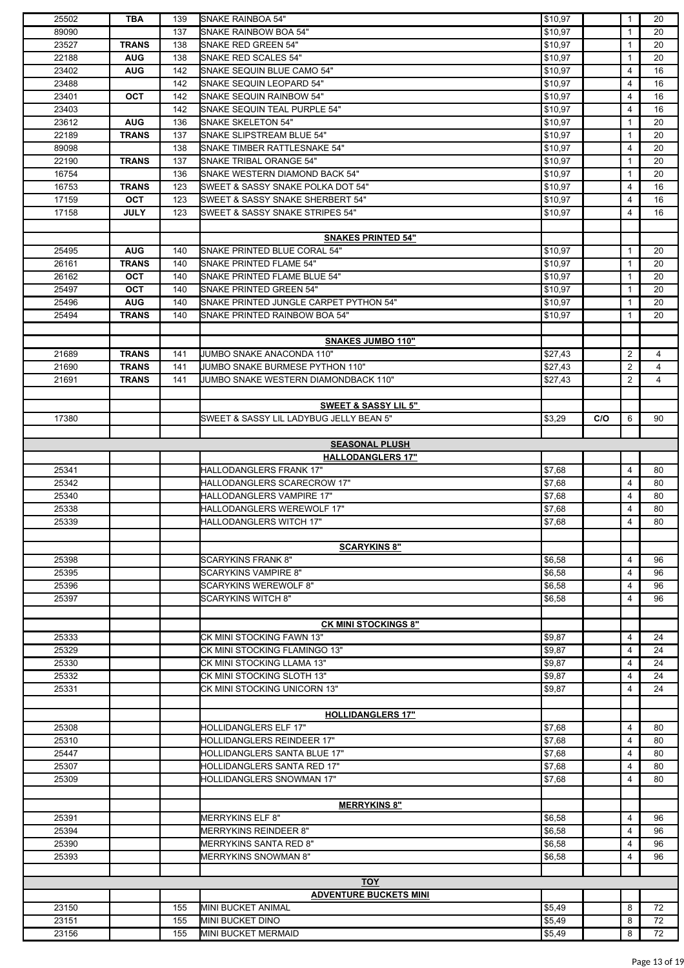| 25502 | <b>TBA</b>   | 139 | SNAKE RAINBOA 54"                       | \$10,97 |     | $\mathbf{1}$ | 20             |
|-------|--------------|-----|-----------------------------------------|---------|-----|--------------|----------------|
| 89090 |              | 137 | SNAKE RAINBOW BOA 54"                   | \$10,97 |     | $\mathbf{1}$ | 20             |
| 23527 | <b>TRANS</b> | 138 | SNAKE RED GREEN 54"                     | \$10,97 |     | $\mathbf{1}$ | 20             |
| 22188 | <b>AUG</b>   | 138 | SNAKE RED SCALES 54"                    | \$10,97 |     | $\mathbf{1}$ | 20             |
| 23402 | <b>AUG</b>   | 142 | SNAKE SEQUIN BLUE CAMO 54"              | \$10,97 |     | 4            | 16             |
| 23488 |              | 142 | SNAKE SEQUIN LEOPARD 54"                | \$10,97 |     | 4            | 16             |
| 23401 | <b>OCT</b>   | 142 | SNAKE SEQUIN RAINBOW 54"                | \$10,97 |     | 4            | 16             |
| 23403 |              | 142 | SNAKE SEQUIN TEAL PURPLE 54"            | \$10,97 |     | 4            | 16             |
| 23612 | <b>AUG</b>   | 136 | <b>SNAKE SKELETON 54"</b>               | \$10,97 |     | $\mathbf{1}$ | 20             |
| 22189 | <b>TRANS</b> | 137 | SNAKE SLIPSTREAM BLUE 54"               | \$10,97 |     | $\mathbf{1}$ | 20             |
| 89098 |              | 138 | SNAKE TIMBER RATTLESNAKE 54"            | \$10,97 |     | 4            | 20             |
| 22190 | <b>TRANS</b> | 137 | SNAKE TRIBAL ORANGE 54"                 | \$10,97 |     | $\mathbf{1}$ | 20             |
| 16754 |              | 136 | SNAKE WESTERN DIAMOND BACK 54"          | \$10,97 |     | $\mathbf{1}$ | 20             |
| 16753 | <b>TRANS</b> | 123 | SWEET & SASSY SNAKE POLKA DOT 54"       | \$10,97 |     | 4            | 16             |
| 17159 | OCT          | 123 | SWEET & SASSY SNAKE SHERBERT 54"        | \$10,97 |     | 4            | 16             |
| 17158 | <b>JULY</b>  | 123 | SWEET & SASSY SNAKE STRIPES 54"         | \$10,97 |     | 4            | 16             |
|       |              |     |                                         |         |     |              |                |
|       |              |     | <b>SNAKES PRINTED 54"</b>               |         |     |              |                |
| 25495 | <b>AUG</b>   | 140 | SNAKE PRINTED BLUE CORAL 54"            | \$10,97 |     | $\mathbf{1}$ | 20             |
| 26161 | <b>TRANS</b> | 140 | SNAKE PRINTED FLAME 54"                 | \$10,97 |     | $\mathbf{1}$ | 20             |
| 26162 | <b>OCT</b>   | 140 | SNAKE PRINTED FLAME BLUE 54"            | \$10,97 |     | $\mathbf{1}$ | 20             |
| 25497 | <b>OCT</b>   | 140 | SNAKE PRINTED GREEN 54"                 | \$10,97 |     | $\mathbf{1}$ | 20             |
|       | <b>AUG</b>   |     |                                         |         |     | $\mathbf{1}$ |                |
| 25496 |              | 140 | SNAKE PRINTED JUNGLE CARPET PYTHON 54"  | \$10,97 |     |              | 20             |
| 25494 | <b>TRANS</b> | 140 | SNAKE PRINTED RAINBOW BOA 54"           | \$10,97 |     | $\mathbf{1}$ | 20             |
|       |              |     |                                         |         |     |              |                |
|       |              |     | <b>SNAKES JUMBO 110"</b>                |         |     |              |                |
| 21689 | <b>TRANS</b> | 141 | JUMBO SNAKE ANACONDA 110"               | \$27,43 |     | 2            | $\overline{4}$ |
| 21690 | <b>TRANS</b> | 141 | JUMBO SNAKE BURMESE PYTHON 110"         | \$27,43 |     | 2            | 4              |
| 21691 | <b>TRANS</b> | 141 | JUMBO SNAKE WESTERN DIAMONDBACK 110"    | \$27,43 |     | 2            | $\overline{4}$ |
|       |              |     |                                         |         |     |              |                |
|       |              |     | <b>SWEET &amp; SASSY LIL 5"</b>         |         |     |              |                |
| 17380 |              |     | SWEET & SASSY LIL LADYBUG JELLY BEAN 5" | \$3,29  | C/O | 6            | 90             |
|       |              |     |                                         |         |     |              |                |
|       |              |     | <b>SEASONAL PLUSH</b>                   |         |     |              |                |
|       |              |     | <b>HALLODANGLERS 17"</b>                |         |     |              |                |
| 25341 |              |     | HALLODANGLERS FRANK 17"                 | \$7,68  |     | 4            | 80             |
| 25342 |              |     | HALLODANGLERS SCARECROW 17"             | \$7,68  |     | 4            | 80             |
| 25340 |              |     | HALLODANGLERS VAMPIRE 17"               | \$7,68  |     | 4            | 80             |
| 25338 |              |     | HALLODANGLERS WEREWOLF 17"              | \$7,68  |     | 4            | 80             |
| 25339 |              |     | HALLODANGLERS WITCH 17"                 | \$7,68  |     | 4            | 80             |
|       |              |     |                                         |         |     |              |                |
|       |              |     | <b>SCARYKINS 8"</b>                     |         |     |              |                |
| 25398 |              |     | <b>SCARYKINS FRANK 8"</b>               | \$6,58  |     | 4            | 96             |
| 25395 |              |     |                                         | \$6,58  |     | 4            | 96             |
|       |              |     | <b>SCARYKINS VAMPIRE 8"</b>             |         |     |              |                |
| 25396 |              |     | <b>SCARYKINS WEREWOLF 8"</b>            | \$6,58  |     | 4            | 96             |
| 25397 |              |     | <b>SCARYKINS WITCH 8"</b>               | \$6,58  |     | 4            | 96             |
|       |              |     |                                         |         |     |              |                |
|       |              |     | <b>CK MINI STOCKINGS 8"</b>             |         |     |              |                |
| 25333 |              |     | CK MINI STOCKING FAWN 13"               | \$9,87  |     | 4            | 24             |
| 25329 |              |     | CK MINI STOCKING FLAMINGO 13"           | \$9,87  |     | 4            | 24             |
| 25330 |              |     | CK MINI STOCKING LLAMA 13"              | \$9,87  |     | 4            | 24             |
| 25332 |              |     | CK MINI STOCKING SLOTH 13"              | \$9,87  |     | 4            | 24             |
| 25331 |              |     | CK MINI STOCKING UNICORN 13"            | \$9,87  |     | 4            | 24             |
|       |              |     |                                         |         |     |              |                |
|       |              |     | <b>HOLLIDANGLERS 17"</b>                |         |     |              |                |
| 25308 |              |     | <b>HOLLIDANGLERS ELF 17"</b>            | \$7,68  |     | 4            | 80             |
| 25310 |              |     | HOLLIDANGLERS REINDEER 17"              | \$7,68  |     | 4            | 80             |
| 25447 |              |     | <b>HOLLIDANGLERS SANTA BLUE 17"</b>     | \$7,68  |     | 4            | 80             |
| 25307 |              |     | HOLLIDANGLERS SANTA RED 17"             | \$7,68  |     | 4            | 80             |
| 25309 |              |     | <b>HOLLIDANGLERS SNOWMAN 17"</b>        | \$7,68  |     | 4            | 80             |
|       |              |     |                                         |         |     |              |                |
|       |              |     | <b>MERRYKINS 8"</b>                     |         |     |              |                |
| 25391 |              |     | <b>MERRYKINS ELF 8"</b>                 | \$6,58  |     | 4            | 96             |
| 25394 |              |     | <b>MERRYKINS REINDEER 8"</b>            | \$6,58  |     | 4            | 96             |
| 25390 |              |     | <b>MERRYKINS SANTA RED 8"</b>           | \$6,58  |     | 4            | 96             |
| 25393 |              |     | MERRYKINS SNOWMAN 8"                    | \$6,58  |     | 4            | 96             |
|       |              |     |                                         |         |     |              |                |
|       |              |     | <b>TOY</b>                              |         |     |              |                |
|       |              |     |                                         |         |     |              |                |
|       |              |     | <b>ADVENTURE BUCKETS MINI</b>           |         |     |              |                |
| 23150 |              | 155 | MINI BUCKET ANIMAL                      | \$5,49  |     | 8            | 72             |
| 23151 |              | 155 | <b>MINI BUCKET DINO</b>                 | \$5,49  |     | 8            | 72             |
| 23156 |              | 155 | <b>MINI BUCKET MERMAID</b>              | \$5,49  |     | 8            | 72             |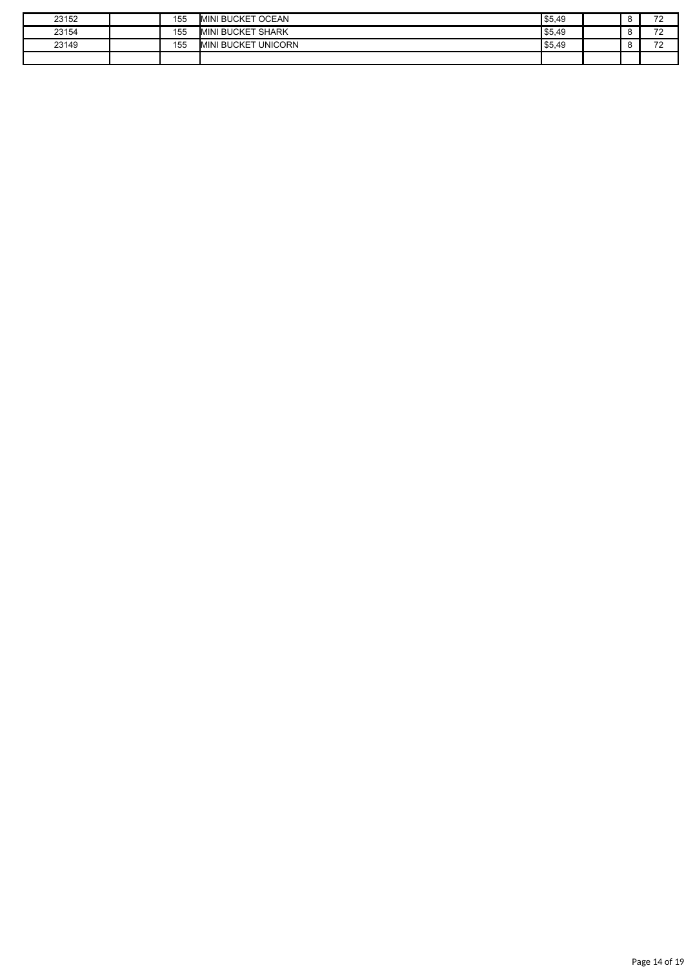| 23152 | 155 | <b>MINI BUCKET OCEAN</b>      | \$5,49 |  | $\overline{\phantom{a}}$<br>. . |
|-------|-----|-------------------------------|--------|--|---------------------------------|
| 23154 | 155 | <b>MINI BUCKET SHARK</b>      | \$5,49 |  | $\overline{\phantom{a}}$<br>--  |
| 23149 | 155 | <b>UNICORN</b><br>MINI BUCKET | \$5,49 |  | $\overline{z}$<br>. .           |
|       |     |                               |        |  |                                 |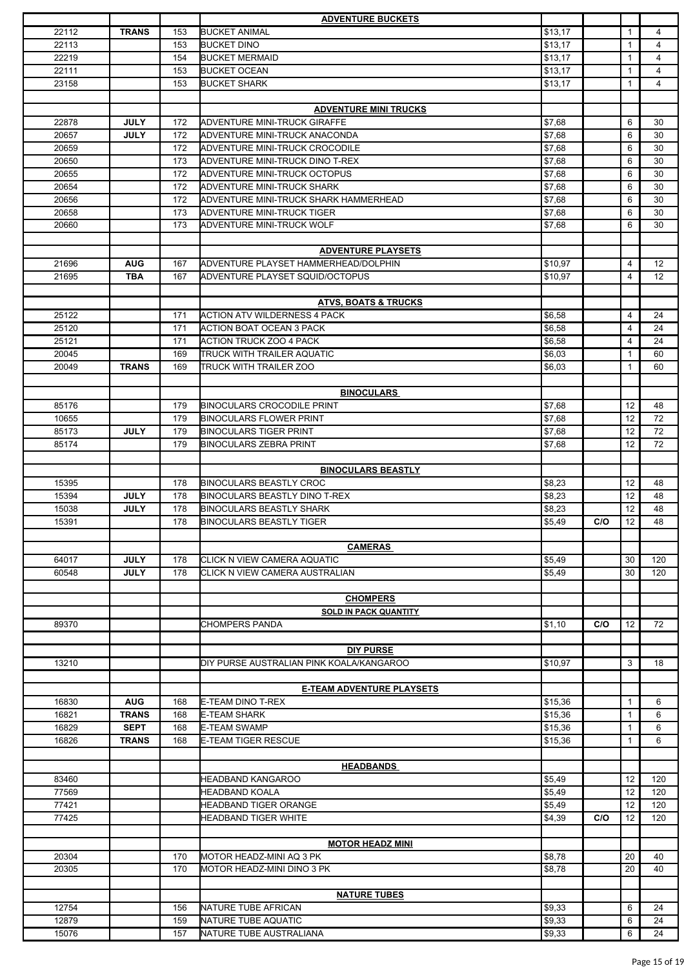|       |              |     | <b>ADVENTURE BUCKETS</b>                 |         |     |              |                |
|-------|--------------|-----|------------------------------------------|---------|-----|--------------|----------------|
| 22112 | <b>TRANS</b> | 153 | <b>BUCKET ANIMAL</b>                     | \$13,17 |     | $\mathbf{1}$ | $\overline{4}$ |
| 22113 |              | 153 | <b>BUCKET DINO</b>                       | \$13,17 |     | 1            | $\overline{4}$ |
| 22219 |              | 154 | <b>BUCKET MERMAID</b>                    | \$13,17 |     | 1            | $\overline{4}$ |
| 22111 |              | 153 | <b>BUCKET OCEAN</b>                      | \$13,17 |     | $\mathbf{1}$ | $\overline{4}$ |
| 23158 |              | 153 | <b>BUCKET SHARK</b>                      | \$13,17 |     | 1            | $\overline{4}$ |
|       |              |     |                                          |         |     |              |                |
|       |              |     | <b>ADVENTURE MINI TRUCKS</b>             |         |     |              |                |
| 22878 | <b>JULY</b>  | 172 | ADVENTURE MINI-TRUCK GIRAFFE             | \$7,68  |     | 6            | 30             |
| 20657 | <b>JULY</b>  | 172 | ADVENTURE MINI-TRUCK ANACONDA            | \$7,68  |     | 6            | 30             |
|       |              | 172 |                                          | \$7,68  |     | 6            | 30             |
| 20659 |              |     | ADVENTURE MINI-TRUCK CROCODILE           |         |     |              |                |
| 20650 |              | 173 | ADVENTURE MINI-TRUCK DINO T-REX          | \$7,68  |     | 6            | 30             |
| 20655 |              | 172 | ADVENTURE MINI-TRUCK OCTOPUS             | \$7,68  |     | 6            | 30             |
| 20654 |              | 172 | ADVENTURE MINI-TRUCK SHARK               | \$7,68  |     | 6            | 30             |
| 20656 |              | 172 | ADVENTURE MINI-TRUCK SHARK HAMMERHEAD    | \$7,68  |     | 6            | 30             |
| 20658 |              | 173 | ADVENTURE MINI-TRUCK TIGER               | \$7,68  |     | 6            | 30             |
| 20660 |              | 173 | <b>ADVENTURE MINI-TRUCK WOLF</b>         | \$7,68  |     | 6            | 30             |
|       |              |     |                                          |         |     |              |                |
|       |              |     | <b>ADVENTURE PLAYSETS</b>                |         |     |              |                |
| 21696 | <b>AUG</b>   | 167 | ADVENTURE PLAYSET HAMMERHEAD/DOLPHIN     | \$10,97 |     | 4            | 12             |
| 21695 | <b>TBA</b>   | 167 | ADVENTURE PLAYSET SQUID/OCTOPUS          | \$10,97 |     | 4            | 12             |
|       |              |     |                                          |         |     |              |                |
|       |              |     | <b>ATVS, BOATS &amp; TRUCKS</b>          |         |     |              |                |
| 25122 |              | 171 | <b>ACTION ATV WILDERNESS 4 PACK</b>      | \$6,58  |     | 4            | 24             |
|       |              |     |                                          |         |     |              |                |
| 25120 |              | 171 | <b>ACTION BOAT OCEAN 3 PACK</b>          | \$6,58  |     | 4            | 24             |
| 25121 |              | 171 | <b>ACTION TRUCK ZOO 4 PACK</b>           | \$6,58  |     | 4            | 24             |
| 20045 |              | 169 | TRUCK WITH TRAILER AQUATIC               | \$6,03  |     | $\mathbf{1}$ | 60             |
| 20049 | <b>TRANS</b> | 169 | TRUCK WITH TRAILER ZOO                   | \$6,03  |     | $\mathbf{1}$ | 60             |
|       |              |     |                                          |         |     |              |                |
|       |              |     | <b>BINOCULARS</b>                        |         |     |              |                |
| 85176 |              | 179 | <b>BINOCULARS CROCODILE PRINT</b>        | \$7,68  |     | 12           | 48             |
| 10655 |              | 179 | <b>BINOCULARS FLOWER PRINT</b>           | \$7,68  |     | 12           | 72             |
| 85173 | <b>JULY</b>  | 179 | <b>BINOCULARS TIGER PRINT</b>            | \$7,68  |     | 12           | 72             |
| 85174 |              | 179 | <b>BINOCULARS ZEBRA PRINT</b>            | \$7,68  |     | 12           | 72             |
|       |              |     |                                          |         |     |              |                |
|       |              |     | <b>BINOCULARS BEASTLY</b>                |         |     |              |                |
|       |              |     |                                          |         |     |              |                |
| 15395 |              | 178 | <b>BINOCULARS BEASTLY CROC</b>           | \$8,23  |     | 12           | 48             |
| 15394 | <b>JULY</b>  | 178 | <b>BINOCULARS BEASTLY DINO T-REX</b>     | \$8,23  |     | 12           | 48             |
| 15038 | <b>JULY</b>  | 178 | <b>BINOCULARS BEASTLY SHARK</b>          | \$8,23  |     | 12           | 48             |
| 15391 |              | 178 | <b>BINOCULARS BEASTLY TIGER</b>          | \$5,49  | C/O | 12           | 48             |
|       |              |     |                                          |         |     |              |                |
|       |              |     | <b>CAMERAS</b>                           |         |     |              |                |
| 64017 | <b>JULY</b>  | 178 | CLICK N VIEW CAMERA AQUATIC              | \$5,49  |     | 30           | 120            |
| 60548 | <b>JULY</b>  | 178 | CLICK N VIEW CAMERA AUSTRALIAN           | \$5,49  |     | 30           | 120            |
|       |              |     |                                          |         |     |              |                |
|       |              |     | <b>CHOMPERS</b>                          |         |     |              |                |
|       |              |     | <b>SOLD IN PACK QUANTITY</b>             |         |     |              |                |
| 89370 |              |     | <b>CHOMPERS PANDA</b>                    | \$1,10  | C/O | 12           | 72             |
|       |              |     |                                          |         |     |              |                |
|       |              |     | <b>DIY PURSE</b>                         |         |     |              |                |
|       |              |     | DIY PURSE AUSTRALIAN PINK KOALA/KANGAROO |         |     |              |                |
| 13210 |              |     |                                          | \$10,97 |     | 3            | 18             |
|       |              |     |                                          |         |     |              |                |
|       |              |     | <b>E-TEAM ADVENTURE PLAYSETS</b>         |         |     |              |                |
| 16830 | <b>AUG</b>   | 168 | <b>E-TEAM DINO T-REX</b>                 | \$15,36 |     | $\mathbf{1}$ | 6              |
| 16821 | <b>TRANS</b> | 168 | <b>E-TEAM SHARK</b>                      | \$15,36 |     | 1            | 6              |
| 16829 | <b>SEPT</b>  | 168 | <b>E-TEAM SWAMP</b>                      | \$15,36 |     | 1            | 6              |
| 16826 | <b>TRANS</b> | 168 | <b>E-TEAM TIGER RESCUE</b>               | \$15,36 |     | 1            | 6              |
|       |              |     |                                          |         |     |              |                |
|       |              |     | <b>HEADBANDS</b>                         |         |     |              |                |
| 83460 |              |     | HEADBAND KANGAROO                        | \$5,49  |     | 12           | 120            |
| 77569 |              |     | <b>HEADBAND KOALA</b>                    | \$5,49  |     | 12           | 120            |
| 77421 |              |     | <b>HEADBAND TIGER ORANGE</b>             | \$5,49  |     | 12           | 120            |
| 77425 |              |     | <b>HEADBAND TIGER WHITE</b>              |         | C/O | 12           | 120            |
|       |              |     |                                          | \$4,39  |     |              |                |
|       |              |     |                                          |         |     |              |                |
|       |              |     | <b>MOTOR HEADZ MINI</b>                  |         |     |              |                |
| 20304 |              | 170 | MOTOR HEADZ-MINI AQ 3 PK                 | \$8,78  |     | 20           | 40             |
| 20305 |              | 170 | MOTOR HEADZ-MINI DINO 3 PK               | \$8,78  |     | 20           | 40             |
|       |              |     |                                          |         |     |              |                |
|       |              |     | <b>NATURE TUBES</b>                      |         |     |              |                |
| 12754 |              | 156 | NATURE TUBE AFRICAN                      | \$9,33  |     | 6            | 24             |
| 12879 |              | 159 | NATURE TUBE AQUATIC                      | \$9,33  |     | 6            | 24             |
| 15076 |              | 157 | NATURE TUBE AUSTRALIANA                  | \$9,33  |     | 6            | 24             |
|       |              |     |                                          |         |     |              |                |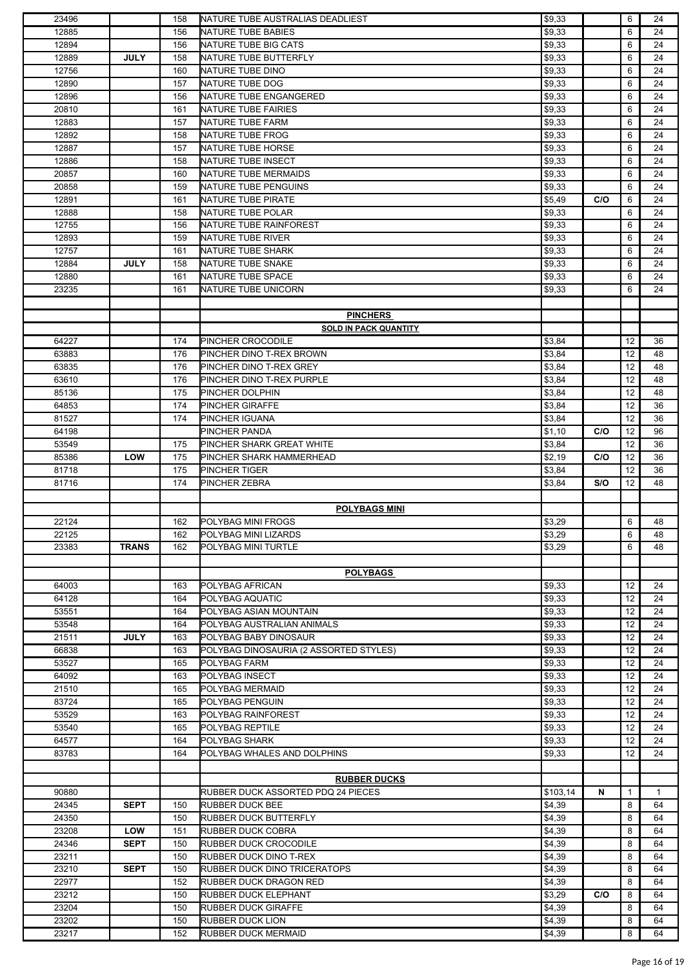| 23496 |              | 158 | NATURE TUBE AUSTRALIAS DEADLIEST       | \$9,33   |     | 6                 | 24 |
|-------|--------------|-----|----------------------------------------|----------|-----|-------------------|----|
| 12885 |              | 156 | NATURE TUBE BABIES                     | \$9,33   |     | 6                 | 24 |
| 12894 |              | 156 | NATURE TUBE BIG CATS                   | \$9,33   |     | 6                 | 24 |
|       |              |     |                                        |          |     |                   |    |
| 12889 | <b>JULY</b>  | 158 | NATURE TUBE BUTTERFLY                  | \$9,33   |     | 6                 | 24 |
| 12756 |              | 160 | NATURE TUBE DINO                       | \$9,33   |     | 6                 | 24 |
| 12890 |              | 157 | NATURE TUBE DOG                        | \$9,33   |     | 6                 | 24 |
| 12896 |              | 156 | NATURE TUBE ENGANGERED                 | \$9,33   |     | 6                 | 24 |
| 20810 |              | 161 | NATURE TUBE FAIRIES                    | \$9,33   |     | 6                 | 24 |
| 12883 |              | 157 |                                        |          |     | 6                 |    |
|       |              |     | NATURE TUBE FARM                       | \$9,33   |     |                   | 24 |
| 12892 |              | 158 | NATURE TUBE FROG                       | \$9,33   |     | 6                 | 24 |
| 12887 |              | 157 | NATURE TUBE HORSE                      | \$9,33   |     | 6                 | 24 |
| 12886 |              | 158 | NATURE TUBE INSECT                     | \$9,33   |     | 6                 | 24 |
| 20857 |              | 160 | NATURE TUBE MERMAIDS                   | \$9,33   |     | 6                 | 24 |
| 20858 |              | 159 | NATURE TUBE PENGUINS                   | \$9,33   |     | 6                 | 24 |
|       |              |     |                                        |          |     |                   |    |
| 12891 |              | 161 | NATURE TUBE PIRATE                     | \$5,49   | C/O | 6                 | 24 |
| 12888 |              | 158 | NATURE TUBE POLAR                      | \$9,33   |     | 6                 | 24 |
| 12755 |              | 156 | NATURE TUBE RAINFOREST                 | \$9,33   |     | 6                 | 24 |
| 12893 |              | 159 | NATURE TUBE RIVER                      | \$9,33   |     | 6                 | 24 |
| 12757 |              | 161 | <b>NATURE TUBE SHARK</b>               | \$9,33   |     | 6                 | 24 |
|       |              |     |                                        |          |     |                   |    |
| 12884 | <b>JULY</b>  | 158 | NATURE TUBE SNAKE                      | \$9,33   |     | 6                 | 24 |
| 12880 |              | 161 | NATURE TUBE SPACE                      | \$9,33   |     | 6                 | 24 |
| 23235 |              | 161 | NATURE TUBE UNICORN                    | \$9,33   |     | 6                 | 24 |
|       |              |     |                                        |          |     |                   |    |
|       |              |     | <b>PINCHERS</b>                        |          |     |                   |    |
|       |              |     | <b>SOLD IN PACK QUANTITY</b>           |          |     |                   |    |
|       |              |     |                                        |          |     |                   |    |
| 64227 |              | 174 | PINCHER CROCODILE                      | \$3,84   |     | 12                | 36 |
| 63883 |              | 176 | PINCHER DINO T-REX BROWN               | \$3,84   |     | 12                | 48 |
| 63835 |              | 176 | PINCHER DINO T-REX GREY                | \$3,84   |     | 12                | 48 |
| 63610 |              | 176 | PINCHER DINO T-REX PURPLE              | \$3,84   |     | 12                | 48 |
| 85136 |              | 175 | PINCHER DOLPHIN                        | \$3,84   |     | 12                | 48 |
|       |              |     |                                        |          |     |                   |    |
| 64853 |              | 174 | PINCHER GIRAFFE                        | \$3,84   |     | 12                | 36 |
| 81527 |              | 174 | PINCHER IGUANA                         | \$3,84   |     | 12                | 36 |
| 64198 |              |     | PINCHER PANDA                          | \$1,10   | C/O | 12                | 96 |
| 53549 |              | 175 | PINCHER SHARK GREAT WHITE              | \$3,84   |     | 12                | 36 |
| 85386 | <b>LOW</b>   | 175 | PINCHER SHARK HAMMERHEAD               | \$2,19   | C/O | 12                | 36 |
|       |              | 175 | PINCHER TIGER                          | \$3,84   |     | 12                | 36 |
|       |              |     |                                        |          |     |                   |    |
| 81718 |              |     |                                        |          |     |                   |    |
| 81716 |              | 174 | PINCHER ZEBRA                          | \$3,84   | S/O | 12                | 48 |
|       |              |     |                                        |          |     |                   |    |
|       |              |     | <b>POLYBAGS MINI</b>                   |          |     |                   |    |
|       |              |     | POLYBAG MINI FROGS                     |          |     |                   |    |
| 22124 |              | 162 |                                        | \$3,29   |     | 6                 | 48 |
| 22125 |              | 162 | POLYBAG MINI LIZARDS                   | \$3,29   |     | 6                 | 48 |
| 23383 | <b>TRANS</b> | 162 | POLYBAG MINI TURTLE                    | \$3,29   |     | 6                 | 48 |
|       |              |     |                                        |          |     |                   |    |
|       |              |     | <b>POLYBAGS</b>                        |          |     |                   |    |
| 64003 |              | 163 | POLYBAG AFRICAN                        |          |     | 12                | 24 |
|       |              |     |                                        | \$9,33   |     |                   |    |
| 64128 |              | 164 | POLYBAG AQUATIC                        | \$9,33   |     | 12                | 24 |
| 53551 |              | 164 | POLYBAG ASIAN MOUNTAIN                 | \$9,33   |     | 12                | 24 |
| 53548 |              | 164 | POLYBAG AUSTRALIAN ANIMALS             | \$9,33   |     | $12 \overline{ }$ | 24 |
| 21511 | <b>JULY</b>  | 163 | POLYBAG BABY DINOSAUR                  | \$9,33   |     | 12                | 24 |
| 66838 |              | 163 | POLYBAG DINOSAURIA (2 ASSORTED STYLES) | \$9,33   |     | 12                | 24 |
| 53527 |              | 165 | POLYBAG FARM                           |          |     | 12                | 24 |
|       |              |     |                                        | \$9,33   |     |                   |    |
| 64092 |              | 163 | POLYBAG INSECT                         | \$9,33   |     | 12                | 24 |
| 21510 |              | 165 | POLYBAG MERMAID                        | \$9,33   |     | $12 \overline{ }$ | 24 |
| 83724 |              | 165 | POLYBAG PENGUIN                        | \$9,33   |     | 12                | 24 |
| 53529 |              | 163 | POLYBAG RAINFOREST                     | \$9,33   |     | 12                | 24 |
| 53540 |              | 165 | POLYBAG REPTILE                        | \$9,33   |     | 12                | 24 |
|       |              |     |                                        |          |     |                   |    |
| 64577 |              | 164 | POLYBAG SHARK                          | \$9,33   |     | 12                | 24 |
| 83783 |              | 164 | POLYBAG WHALES AND DOLPHINS            | \$9,33   |     | $12 \overline{ }$ | 24 |
|       |              |     |                                        |          |     |                   |    |
|       |              |     | <b>RUBBER DUCKS</b>                    |          |     |                   |    |
| 90880 |              |     | RUBBER DUCK ASSORTED PDQ 24 PIECES     | \$103,14 | N   | 1                 | 1  |
|       |              | 150 |                                        |          |     | 8                 | 64 |
| 24345 | <b>SEPT</b>  |     | <b>RUBBER DUCK BEE</b>                 | \$4,39   |     |                   |    |
| 24350 |              | 150 | <b>RUBBER DUCK BUTTERFLY</b>           | \$4,39   |     | 8                 | 64 |
| 23208 | <b>LOW</b>   | 151 | <b>RUBBER DUCK COBRA</b>               | \$4,39   |     | 8                 | 64 |
| 24346 | <b>SEPT</b>  | 150 | RUBBER DUCK CROCODILE                  | \$4,39   |     | 8                 | 64 |
| 23211 |              | 150 | RUBBER DUCK DINO T-REX                 | \$4,39   |     | 8                 | 64 |
| 23210 | <b>SEPT</b>  | 150 | RUBBER DUCK DINO TRICERATOPS           |          |     | 8                 | 64 |
|       |              |     |                                        | \$4,39   |     |                   |    |
| 22977 |              | 152 | RUBBER DUCK DRAGON RED                 | \$4,39   |     | 8                 | 64 |
| 23212 |              | 150 | <b>RUBBER DUCK ELEPHANT</b>            | \$3,29   | C/O | 8                 | 64 |
| 23204 |              | 150 | <b>RUBBER DUCK GIRAFFE</b>             | \$4,39   |     | 8                 | 64 |
| 23202 |              | 150 | <b>RUBBER DUCK LION</b>                | \$4,39   |     | 8                 | 64 |
| 23217 |              | 152 | <b>RUBBER DUCK MERMAID</b>             | \$4,39   |     | 8                 | 64 |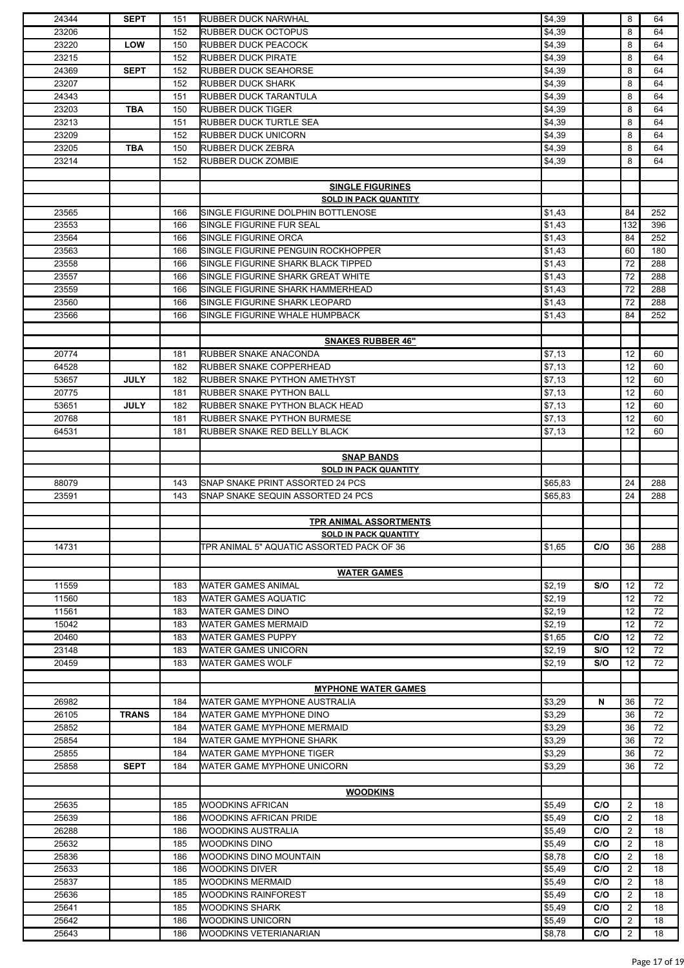| 24344 | <b>SEPT</b>  | 151 | <b>RUBBER DUCK NARWHAL</b>                | \$4,39  |     | 8              | 64  |
|-------|--------------|-----|-------------------------------------------|---------|-----|----------------|-----|
| 23206 |              | 152 | <b>RUBBER DUCK OCTOPUS</b>                | \$4,39  |     | 8              | 64  |
| 23220 | <b>LOW</b>   | 150 | RUBBER DUCK PEACOCK                       | \$4,39  |     | 8              | 64  |
|       |              |     |                                           |         |     |                |     |
| 23215 |              | 152 | <b>RUBBER DUCK PIRATE</b>                 | \$4,39  |     | 8              | 64  |
| 24369 | <b>SEPT</b>  | 152 | <b>RUBBER DUCK SEAHORSE</b>               | \$4,39  |     | 8              | 64  |
| 23207 |              | 152 | <b>RUBBER DUCK SHARK</b>                  | \$4,39  |     | 8              | 64  |
| 24343 |              | 151 | RUBBER DUCK TARANTULA                     | \$4,39  |     | 8              | 64  |
| 23203 | TBA          | 150 | <b>RUBBER DUCK TIGER</b>                  | \$4,39  |     | 8              | 64  |
|       |              | 151 |                                           |         |     | 8              | 64  |
| 23213 |              |     | <b>RUBBER DUCK TURTLE SEA</b>             | \$4,39  |     |                |     |
| 23209 |              | 152 | <b>RUBBER DUCK UNICORN</b>                | \$4,39  |     | 8              | 64  |
| 23205 | TBA          | 150 | <b>RUBBER DUCK ZEBRA</b>                  | \$4,39  |     | 8              | 64  |
| 23214 |              | 152 | <b>RUBBER DUCK ZOMBIE</b>                 | \$4,39  |     | 8              | 64  |
|       |              |     |                                           |         |     |                |     |
|       |              |     | <b>SINGLE FIGURINES</b>                   |         |     |                |     |
|       |              |     |                                           |         |     |                |     |
|       |              |     | <b>SOLD IN PACK QUANTITY</b>              |         |     |                |     |
| 23565 |              | 166 | SINGLE FIGURINE DOLPHIN BOTTLENOSE        | \$1,43  |     | 84             | 252 |
| 23553 |              | 166 | SINGLE FIGURINE FUR SEAL                  | \$1,43  |     | 132            | 396 |
| 23564 |              | 166 | SINGLE FIGURINE ORCA                      | \$1,43  |     | 84             | 252 |
| 23563 |              | 166 | SINGLE FIGURINE PENGUIN ROCKHOPPER        | \$1,43  |     | 60             | 180 |
|       |              |     |                                           |         |     |                |     |
| 23558 |              | 166 | SINGLE FIGURINE SHARK BLACK TIPPED        | \$1,43  |     | 72             | 288 |
| 23557 |              | 166 | SINGLE FIGURINE SHARK GREAT WHITE         | \$1,43  |     | 72             | 288 |
| 23559 |              | 166 | SINGLE FIGURINE SHARK HAMMERHEAD          | \$1,43  |     | 72             | 288 |
| 23560 |              | 166 | SINGLE FIGURINE SHARK LEOPARD             | \$1,43  |     | 72             | 288 |
| 23566 |              | 166 | SINGLE FIGURINE WHALE HUMPBACK            | \$1,43  |     | 84             | 252 |
|       |              |     |                                           |         |     |                |     |
|       |              |     |                                           |         |     |                |     |
|       |              |     | <b>SNAKES RUBBER 46"</b>                  |         |     |                |     |
| 20774 |              | 181 | RUBBER SNAKE ANACONDA                     | \$7,13  |     | 12             | 60  |
| 64528 |              | 182 | RUBBER SNAKE COPPERHEAD                   | \$7,13  |     | 12             | 60  |
| 53657 | <b>JULY</b>  | 182 | RUBBER SNAKE PYTHON AMETHYST              | \$7,13  |     | 12             | 60  |
| 20775 |              | 181 | <b>RUBBER SNAKE PYTHON BALL</b>           | \$7,13  |     | 12             | 60  |
|       |              |     |                                           |         |     |                |     |
| 53651 | <b>JULY</b>  | 182 | RUBBER SNAKE PYTHON BLACK HEAD            | \$7,13  |     | 12             | 60  |
| 20768 |              | 181 | RUBBER SNAKE PYTHON BURMESE               | \$7,13  |     | 12             | 60  |
| 64531 |              | 181 | RUBBER SNAKE RED BELLY BLACK              | \$7,13  |     | 12             | 60  |
|       |              |     |                                           |         |     |                |     |
|       |              |     | <b>SNAP BANDS</b>                         |         |     |                |     |
|       |              |     |                                           |         |     |                |     |
|       |              |     | <b>SOLD IN PACK QUANTITY</b>              |         |     |                |     |
| 88079 |              | 143 | SNAP SNAKE PRINT ASSORTED 24 PCS          | \$65,83 |     | 24             | 288 |
|       |              |     |                                           |         |     |                |     |
| 23591 |              | 143 | SNAP SNAKE SEQUIN ASSORTED 24 PCS         | \$65,83 |     | 24             | 288 |
|       |              |     |                                           |         |     |                |     |
|       |              |     |                                           |         |     |                |     |
|       |              |     | <b>TPR ANIMAL ASSORTMENTS</b>             |         |     |                |     |
|       |              |     | <b>SOLD IN PACK QUANTITY</b>              |         |     |                |     |
| 14731 |              |     | TPR ANIMAL 5" AQUATIC ASSORTED PACK OF 36 | \$1,65  | C/O | 36             | 288 |
|       |              |     |                                           |         |     |                |     |
|       |              |     | <b>WATER GAMES</b>                        |         |     |                |     |
|       |              |     |                                           |         |     |                |     |
| 11559 |              | 183 | <b>WATER GAMES ANIMAL</b>                 | \$2,19  | S/O | 12             | 72  |
| 11560 |              | 183 | <b>WATER GAMES AQUATIC</b>                | \$2,19  |     | 12             | 72  |
| 11561 |              | 183 | WATER GAMES DINO                          | \$2,19  |     | 12             | 72  |
| 15042 |              | 183 | <b>WATER GAMES MERMAID</b>                | \$2,19  |     | 12             | 72  |
| 20460 |              | 183 | <b>WATER GAMES PUPPY</b>                  | \$1,65  | C/O | 12             | 72  |
| 23148 |              | 183 | <b>WATER GAMES UNICORN</b>                | \$2,19  | S/O | 12             | 72  |
|       |              |     |                                           |         |     |                |     |
| 20459 |              | 183 | <b>WATER GAMES WOLF</b>                   | \$2,19  | S/O | 12             | 72  |
|       |              |     |                                           |         |     |                |     |
|       |              |     | <b>MYPHONE WATER GAMES</b>                |         |     |                |     |
| 26982 |              | 184 | WATER GAME MYPHONE AUSTRALIA              | \$3,29  | N   | 36             | 72  |
| 26105 | <b>TRANS</b> | 184 | WATER GAME MYPHONE DINO                   | \$3,29  |     | 36             | 72  |
|       |              |     |                                           |         |     |                |     |
| 25852 |              | 184 | WATER GAME MYPHONE MERMAID                | \$3,29  |     | 36             | 72  |
| 25854 |              | 184 | WATER GAME MYPHONE SHARK                  | \$3,29  |     | 36             | 72  |
| 25855 |              | 184 | WATER GAME MYPHONE TIGER                  | \$3,29  |     | 36             | 72  |
| 25858 | <b>SEPT</b>  | 184 | WATER GAME MYPHONE UNICORN                | \$3,29  |     | 36             | 72  |
|       |              |     |                                           |         |     |                |     |
|       |              |     | <b>WOODKINS</b>                           |         |     |                |     |
|       |              |     |                                           |         |     |                |     |
| 25635 |              | 185 | <b>WOODKINS AFRICAN</b>                   | \$5,49  | C/O | $\overline{2}$ | 18  |
| 25639 |              | 186 | WOODKINS AFRICAN PRIDE                    | \$5,49  | C/O | 2              | 18  |
| 26288 |              | 186 | WOODKINS AUSTRALIA                        | \$5,49  | C/O | $\overline{2}$ | 18  |
| 25632 |              | 185 | <b>WOODKINS DINO</b>                      | \$5,49  | C/O | 2              | 18  |
| 25836 |              | 186 | WOODKINS DINO MOUNTAIN                    | \$8,78  | C/O | $\overline{2}$ | 18  |
|       |              |     |                                           |         |     |                |     |
| 25633 |              | 186 | WOODKINS DIVER                            | \$5,49  | C/O | 2              | 18  |
| 25837 |              | 185 | <b>WOODKINS MERMAID</b>                   | \$5,49  | C/O | $\overline{2}$ | 18  |
| 25636 |              | 185 | <b>WOODKINS RAINFOREST</b>                | \$5,49  | C/O | 2              | 18  |
| 25641 |              | 185 | <b>WOODKINS SHARK</b>                     | \$5,49  | C/O | $\overline{2}$ | 18  |
| 25642 |              | 186 | WOODKINS UNICORN                          | \$5,49  | C/O | 2              | 18  |
| 25643 |              | 186 | WOODKINS VETERIANARIAN                    | \$8,78  | C/O | $\overline{2}$ | 18  |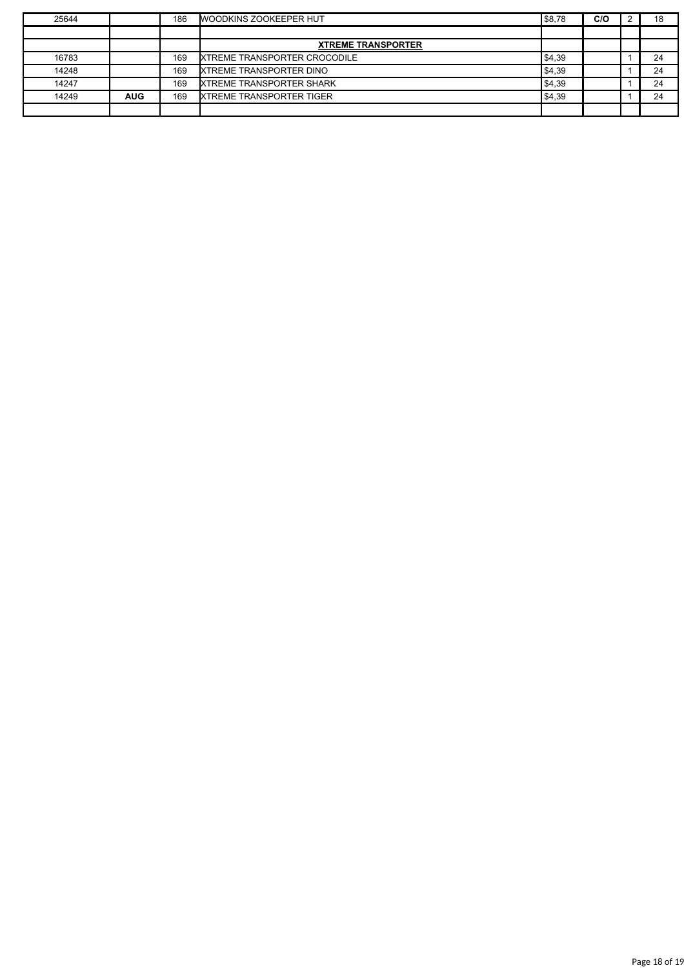| 25644 |            | 186 | <b>WOODKINS ZOOKEEPER HUT</b>       | \$8,78 | C/O | 18 |
|-------|------------|-----|-------------------------------------|--------|-----|----|
|       |            |     |                                     |        |     |    |
|       |            |     | <b>XTREME TRANSPORTER</b>           |        |     |    |
| 16783 |            | 169 | <b>XTREME TRANSPORTER CROCODILE</b> | \$4,39 |     | 24 |
| 14248 |            | 169 | <b>IXTREME TRANSPORTER DINO</b>     | \$4,39 |     | 24 |
| 14247 |            | 169 | <b>XTREME TRANSPORTER SHARK</b>     | \$4,39 |     | 24 |
| 14249 | <b>AUG</b> | 169 | <b>IXTREME TRANSPORTER TIGER</b>    | \$4,39 |     | 24 |
|       |            |     |                                     |        |     |    |